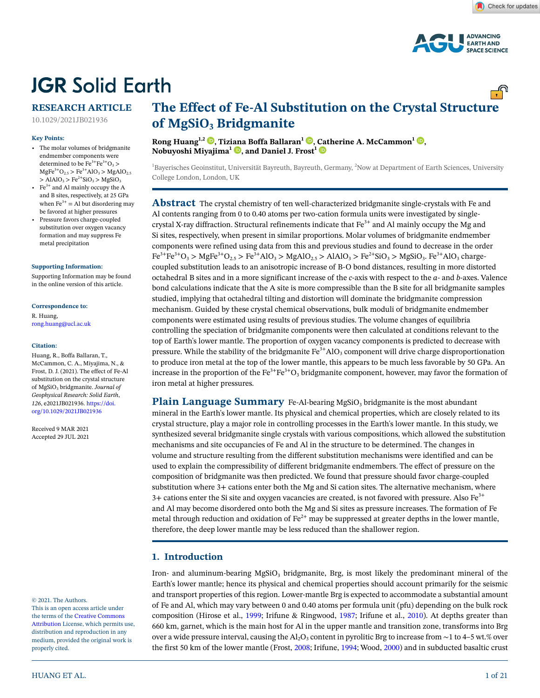

# **JGR Solid Earth**

# **RESEARCH ARTICLE**

10.1029/2021JB021936

#### **Key Points:**

- The molar volumes of bridgmanite endmember components were determined to be  $Fe^{3+}Fe^{3+}O_3$  $MgFe<sup>3+</sup>O<sub>2.5</sub> > Fe<sup>3+</sup>AIO<sub>3</sub> > MgAlO<sub>2.5</sub>$  $>$  AlAlO<sub>3</sub>  $>$  Fe<sup>2+</sup>SiO<sub>3</sub>  $>$  MgSiO<sub>3</sub>
- Fe $3+$  and Al mainly occupy the A and B sites, respectively, at 25 GPa when  $Fe^{3+} = Al$  but disordering may be favored at higher pressures
- Pressure favors charge-coupled substitution over oxygen vacancy formation and may suppress Fe metal precipitation

#### **[Supporting Information:](https://doi.org/10.1029/2021JB021936)**

[Supporting Information may be found](https://doi.org/10.1029/2021JB021936)  [in the online version of this article.](https://doi.org/10.1029/2021JB021936)

**Correspondence to:** R. Huang,

rong.huang@ucl.ac.uk

#### **Citation:**

Huang, R., Boffa Ballaran, T., McCammon, C. A., Miyajima, N., & Frost, D. J. (2021). The effect of Fe-Al substitution on the crystal structure of MgSiO3 bridgmanite. *Journal of Geophysical Research: Solid Earth*, *126*, e2021JB021936. [https://doi.](https://doi.org/10.1029/2021JB021936) [org/10.1029/2021JB021936](https://doi.org/10.1029/2021JB021936)

Received 9 MAR 2021 Accepted 29 JUL 2021

© 2021. The Authors.

This is an open access article under the terms of the [Creative Commons](http://creativecommons.org/licenses/by/4.0/)  [Attribution](http://creativecommons.org/licenses/by/4.0/) License, which permits use, distribution and reproduction in any medium, provided the original work is properly cited.

# **The Effect of Fe-Al Substitution on the Crystal Structure**  of MgSiO<sub>3</sub> Bridgmanite

**Rong Huang1,2 [,](https://orcid.org/0000-0002-6332-5123) Tiz[iana](https://orcid.org/0000-0002-6226-5675) Boffa Ballaran1 [,](https://orcid.org/0000-0002-4567-8961) [Cat](https://orcid.org/0000-0002-4443-8149)herine A. McCammon1 [,](https://orcid.org/0000-0001-5680-9106) Nobuyoshi Miyajima<sup>1</sup> <b>D**, and Daniel J. Frost<sup>1</sup> **D** 

<sup>1</sup>Bayerisches Geoinstitut, Universität Bayreuth, Bayreuth, Germany, <sup>2</sup>Now at Department of Earth Sciences, University College London, London, UK

**Abstract** The crystal chemistry of ten well-characterized bridgmanite single-crystals with Fe and Al contents ranging from 0 to 0.40 atoms per two-cation formula units were investigated by singlecrystal X-ray diffraction. Structural refinements indicate that  $Fe<sup>3+</sup>$  and Al mainly occupy the Mg and Si sites, respectively, when present in similar proportions. Molar volumes of bridgmanite endmember components were refined using data from this and previous studies and found to decrease in the order  $Fe^{3+}Fe^{3+}O_3$  > MgFe<sup>3+</sup>O<sub>2.5</sub> > Fe<sup>3+</sup>AlO<sub>3</sub> > MgAlO<sub>2.5</sub> > AlAlO<sub>3</sub> > Fe<sup>2+</sup>SiO<sub>3</sub> > MgSiO<sub>3</sub>. Fe<sup>3+</sup>AlO<sub>3</sub> chargecoupled substitution leads to an anisotropic increase of B-O bond distances, resulting in more distorted octahedral B sites and in a more significant increase of the *c*-axis with respect to the *a*- and *b*-axes. Valence bond calculations indicate that the A site is more compressible than the B site for all bridgmanite samples studied, implying that octahedral tilting and distortion will dominate the bridgmanite compression mechanism. Guided by these crystal chemical observations, bulk moduli of bridgmanite endmember components were estimated using results of previous studies. The volume changes of equilibria controlling the speciation of bridgmanite components were then calculated at conditions relevant to the top of Earth's lower mantle. The proportion of oxygen vacancy components is predicted to decrease with pressure. While the stability of the bridgmanite  $Fe^{3+}AlO_3$  component will drive charge disproportionation to produce iron metal at the top of the lower mantle, this appears to be much less favorable by 50 GPa. An increase in the proportion of the  $Fe^{3+}Fe^{3+}O_3$  bridgmanite component, however, may favor the formation of iron metal at higher pressures.

**Plain Language Summary** Fe-Al-bearing MgSiO<sub>3</sub> bridgmanite is the most abundant mineral in the Earth's lower mantle. Its physical and chemical properties, which are closely related to its crystal structure, play a major role in controlling processes in the Earth's lower mantle. In this study, we synthesized several bridgmanite single crystals with various compositions, which allowed the substitution mechanisms and site occupancies of Fe and Al in the structure to be determined. The changes in volume and structure resulting from the different substitution mechanisms were identified and can be used to explain the compressibility of different bridgmanite endmembers. The effect of pressure on the composition of bridgmanite was then predicted. We found that pressure should favor charge-coupled substitution where 3+ cations enter both the Mg and Si cation sites. The alternative mechanism, where  $3+$  cations enter the Si site and oxygen vacancies are created, is not favored with pressure. Also Fe<sup>3+</sup> and Al may become disordered onto both the Mg and Si sites as pressure increases. The formation of Fe metal through reduction and oxidation of  $\text{Fe}^{2+}$  may be suppressed at greater depths in the lower mantle, therefore, the deep lower mantle may be less reduced than the shallower region.

# **1. Introduction**

Iron- and aluminum-bearing  $MgSiO<sub>3</sub>$  bridgmanite, Brg, is most likely the predominant mineral of the Earth's lower mantle; hence its physical and chemical properties should account primarily for the seismic and transport properties of this region. Lower-mantle Brg is expected to accommodate a substantial amount of Fe and Al, which may vary between 0 and 0.40 atoms per formula unit (pfu) depending on the bulk rock composition (Hirose et al., [1999](#page-18-0); Irifune & Ringwood, [1987;](#page-18-1) Irifune et al., [2010\)](#page-18-2). At depths greater than 660 km, garnet, which is the main host for Al in the upper mantle and transition zone, transforms into Brg over a wide pressure interval, causing the Al<sub>2</sub>O<sub>3</sub> content in pyrolitic Brg to increase from ∼1 to 4–5 wt.% over the first 50 km of the lower mantle (Frost, [2008;](#page-18-3) Irifune, [1994;](#page-18-4) Wood, [2000](#page-20-0)) and in subducted basaltic crust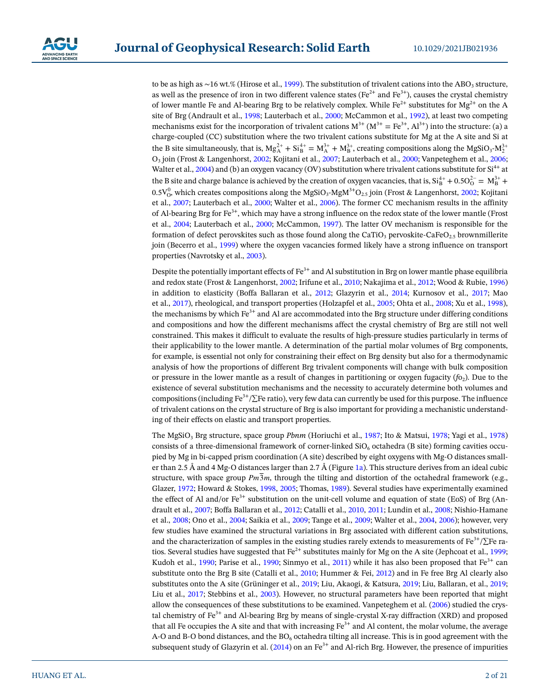to be as high as ∼16 wt.% (Hirose et al., [1999\)](#page-18-0). The substitution of trivalent cations into the ABO<sub>3</sub> structure, as well as the presence of iron in two different valence states ( $Fe^{2+}$  and  $Fe^{3+}$ ), causes the crystal chemistry of lower mantle Fe and Al-bearing Brg to be relatively complex. While  $Fe^{2+}$  substitutes for  $Mg^{2+}$  on the A site of Brg (Andrault et al., [1998](#page-17-0); Lauterbach et al., [2000;](#page-19-0) McCammon et al., [1992](#page-19-1)), at least two competing mechanisms exist for the incorporation of trivalent cations  $M^{3+} (M^{3+} = Fe^{3+}, Al^{3+})$  into the structure: (a) a charge-coupled (CC) substitution where the two trivalent cations substitute for Mg at the A site and Si at the B site simultaneously, that is,  $Mg_A^{2+} + Si_B^{4+} = M_A^{3+} + M_B^{3+}$ , creating compositions along the  $MgSiO_3 \cdot M_2^{3+}$ O3 join (Frost & Langenhorst, [2002](#page-18-5); Kojitani et al., [2007](#page-18-6); Lauterbach et al., [2000](#page-19-0); Vanpeteghem et al., [2006;](#page-20-1) Walter et al., [2004\)](#page-20-2) and (b) an oxygen vacancy (OV) substitution where trivalent cations substitute for  $Si<sup>4+</sup>$  at the B site and charge balance is achieved by the creation of oxygen vacancies, that is,  $Si_B^{4+} + 0.5 O_O^{2-} = M_B^{3+} +$  $0.5 V_0^0$ , which creates compositions along the MgSiO<sub>3</sub>-MgM<sup>3+</sup>O<sub>2.5</sub> join (Frost & Langenhorst, [2002;](#page-18-5) Kojitani et al., [2007](#page-18-6); Lauterbach et al., [2000](#page-19-0); Walter et al., [2006\)](#page-20-3). The former CC mechanism results in the affinity of Al-bearing Brg for Fe<sup>3+</sup>, which may have a strong influence on the redox state of the lower mantle (Frost et al., [2004;](#page-18-7) Lauterbach et al., [2000](#page-19-0); McCammon, [1997](#page-19-2)). The latter OV mechanism is responsible for the formation of defect perovskites such as those found along the CaTiO<sub>3</sub> pervoskite-CaFeO<sub>2.5</sub> brownmillerite join (Becerro et al., [1999\)](#page-17-1) where the oxygen vacancies formed likely have a strong influence on transport properties (Navrotsky et al., [2003](#page-19-3)).

Despite the potentially important effects of  $Fe^{3+}$  and Al substitution in Brg on lower mantle phase equilibria and redox state (Frost & Langenhorst, [2002](#page-18-5); Irifune et al., [2010](#page-18-2); Nakajima et al., [2012;](#page-19-4) Wood & Rubie, [1996\)](#page-20-4) in addition to elasticity (Boffa Ballaran et al., [2012](#page-17-2); Glazyrin et al., [2014](#page-18-8); Kurnosov et al., [2017;](#page-19-5) Mao et al., [2017](#page-19-6)), rheological, and transport properties (Holzapfel et al., [2005](#page-18-9); Ohta et al., [2008](#page-19-7); Xu et al., [1998\)](#page-20-5), the mechanisms by which  $Fe<sup>3+</sup>$  and Al are accommodated into the Brg structure under differing conditions and compositions and how the different mechanisms affect the crystal chemistry of Brg are still not well constrained. This makes it difficult to evaluate the results of high-pressure studies particularly in terms of their applicability to the lower mantle. A determination of the partial molar volumes of Brg components, for example, is essential not only for constraining their effect on Brg density but also for a thermodynamic analysis of how the proportions of different Brg trivalent components will change with bulk composition or pressure in the lower mantle as a result of changes in partitioning or oxygen fugacity  $(f_0)$ . Due to the existence of several substitution mechanisms and the necessity to accurately determine both volumes and compositions (including Fe<sup>3+</sup>/ $\Sigma$ Fe ratio), very few data can currently be used for this purpose. The influence of trivalent cations on the crystal structure of Brg is also important for providing a mechanistic understanding of their effects on elastic and transport properties.

The MgSiO3 Brg structure, space group *Pbnm* (Horiuchi et al., [1987](#page-18-10); Ito & Matsui, [1978;](#page-18-11) Yagi et al., [1978\)](#page-20-6) consists of a three-dimensional framework of corner-linked  $SiO<sub>6</sub>$  octahedra (B site) forming cavities occupied by Mg in bi-capped prism coordination (A site) described by eight oxygens with Mg-O distances small-er than 2.5 Å and 4 Mg-O distances larger than 2.7 Å (Figure [1a\)](#page-2-0). This structure derives from an ideal cubic structure, with space group  $Pm\overline{3}m$ , through the tilting and distortion of the octahedral framework (e.g., Glazer, [1972;](#page-18-12) Howard & Stokes, [1998,](#page-18-13) [2005](#page-18-14); Thomas, [1989](#page-20-7)). Several studies have experimentally examined the effect of Al and/or  $Fe^{3+}$  substitution on the unit-cell volume and equation of state (EoS) of Brg (Andrault et al., [2007;](#page-17-3) Boffa Ballaran et al., [2012](#page-17-2); Catalli et al., [2010,](#page-17-4) [2011](#page-17-5); Lundin et al., [2008;](#page-19-8) Nishio-Hamane et al., [2008;](#page-19-9) Ono et al., [2004](#page-19-10); Saikia et al., [2009](#page-19-11); Tange et al., [2009](#page-20-8); Walter et al., [2004](#page-20-2), [2006\)](#page-20-3); however, very few studies have examined the structural variations in Brg associated with different cation substitutions, and the characterization of samples in the existing studies rarely extends to measurements of Fe<sup>3+</sup>/ $\Sigma$ Fe ratios. Several studies have suggested that  $Fe^{2+}$  substitutes mainly for Mg on the A site (Jephcoat et al., [1999;](#page-18-15) Kudoh et al., [1990](#page-19-12); Parise et al., 1990; Sinmyo et al., [2011\)](#page-20-9) while it has also been proposed that  $Fe^{3+}$  can substitute onto the Brg B site (Catalli et al., [2010;](#page-17-4) Hummer & Fei, [2012](#page-18-17)) and in Fe free Brg Al clearly also substitutes onto the A site (Grüninger et al., [2019;](#page-18-18) Liu, Akaogi, & Katsura, [2019](#page-19-13); Liu, Ballaran, et al., [2019;](#page-19-14) Liu et al., [2017;](#page-19-15) Stebbins et al., [2003](#page-20-10)). However, no structural parameters have been reported that might allow the consequences of these substitutions to be examined. Vanpeteghem et al. ([2006\)](#page-20-1) studied the crystal chemistry of Fe<sup>3+</sup> and Al-bearing Brg by means of single-crystal X-ray diffraction (XRD) and proposed that all Fe occupies the A site and that with increasing  $Fe<sup>3+</sup>$  and Al content, the molar volume, the average A-O and B-O bond distances, and the  $BO<sub>6</sub>$  octahedra tilting all increase. This is in good agreement with the subsequent study of Glazyrin et al. ([2014\)](#page-18-8) on an  $Fe<sup>3+</sup>$  and Al-rich Brg. However, the presence of impurities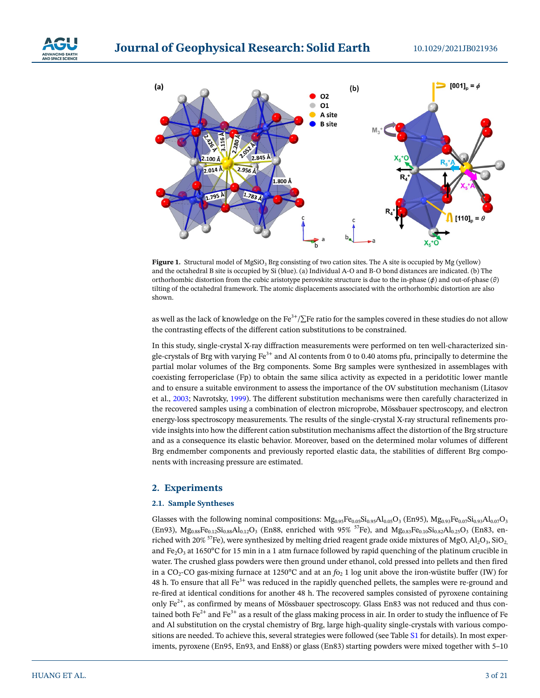



<span id="page-2-0"></span>Figure 1. Structural model of MgSiO<sub>3</sub> Brg consisting of two cation sites. The A site is occupied by Mg (yellow) and the octahedral B site is occupied by Si (blue). (a) Individual A-O and B-O bond distances are indicated. (b) The orthorhombic distortion from the cubic aristotype perovskite structure is due to the in-phase (*ϕ*) and out-of-phase (*θ*) tilting of the octahedral framework. The atomic displacements associated with the orthorhombic distortion are also shown.

as well as the lack of knowledge on the Fe<sup>3+</sup>/∑Fe ratio for the samples covered in these studies do not allow the contrasting effects of the different cation substitutions to be constrained.

In this study, single-crystal X-ray diffraction measurements were performed on ten well-characterized single-crystals of Brg with varying  $Fe<sup>3+</sup>$  and Al contents from 0 to 0.40 atoms pfu, principally to determine the partial molar volumes of the Brg components. Some Brg samples were synthesized in assemblages with coexisting ferropericlase (Fp) to obtain the same silica activity as expected in a peridotitic lower mantle and to ensure a suitable environment to assess the importance of the OV substitution mechanism (Litasov et al., [2003](#page-19-16); Navrotsky, [1999](#page-19-17)). The different substitution mechanisms were then carefully characterized in the recovered samples using a combination of electron microprobe, Mössbauer spectroscopy, and electron energy-loss spectroscopy measurements. The results of the single-crystal X-ray structural refinements provide insights into how the different cation substitution mechanisms affect the distortion of the Brg structure and as a consequence its elastic behavior. Moreover, based on the determined molar volumes of different Brg endmember components and previously reported elastic data, the stabilities of different Brg components with increasing pressure are estimated.

# **2. Experiments**

### **2.1. Sample Syntheses**

Glasses with the following nominal compositions:  $Mg_{0.95}Fe_{0.05}Si_{0.95}Al_{0.05}O_3$  (En95),  $Mg_{0.93}Fe_{0.07}Si_{0.93}Al_{0.07}O_3$ (En93),  $Mg_{0.88}Fe_{0.12}Si_{0.88}Al_{0.12}O_3$  (En88, enriched with 95% <sup>57</sup>Fe), and  $Mg_{0.83}Fe_{0.10}Si_{0.82}Al_{0.25}O_3$  (En83, enriched with 20%  $57$ Fe), were synthesized by melting dried reagent grade oxide mixtures of MgO, Al<sub>2</sub>O<sub>3</sub>, SiO<sub>2</sub>, and Fe<sub>2</sub>O<sub>3</sub> at 1650<sup>o</sup>C for 15 min in a 1 atm furnace followed by rapid quenching of the platinum crucible in water. The crushed glass powders were then ground under ethanol, cold pressed into pellets and then fired in a CO<sub>2</sub>-CO gas-mixing furnace at 1250°C and at an  $f_{Q_2}$  1 log unit above the iron-wüstite buffer (IW) for 48 h. To ensure that all  $Fe<sup>3+</sup>$  was reduced in the rapidly quenched pellets, the samples were re-ground and re-fired at identical conditions for another 48 h. The recovered samples consisted of pyroxene containing only Fe<sup>2+</sup>, as confirmed by means of Mössbauer spectroscopy. Glass En83 was not reduced and thus contained both  $\text{Fe}^{2+}$  and  $\text{Fe}^{3+}$  as a result of the glass making process in air. In order to study the influence of Fe and Al substitution on the crystal chemistry of Brg, large high-quality single-crystals with various compositions are needed. To achieve this, several strategies were followed (see Table S1 for details). In most experiments, pyroxene (En95, En93, and En88) or glass (En83) starting powders were mixed together with 5–10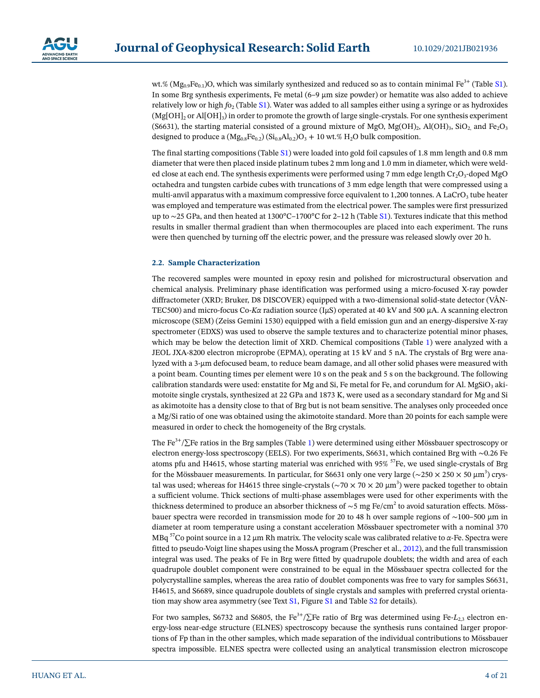

wt.% ( $Mg_0$ ,  $Fe_0$ , )O, which was similarly synthesized and reduced so as to contain minimal Fe<sup>3+</sup> (Table S1). In some Brg synthesis experiments, Fe metal  $(6-9 \mu m)$  size powder) or hematite was also added to achieve relatively low or high *f*o<sub>2</sub> (Table S1). Water was added to all samples either using a syringe or as hydroxides  $(Mg[OH]_2)$  or Al $[OH]_3$ ) in order to promote the growth of large single-crystals. For one synthesis experiment (S6631), the starting material consisted of a ground mixture of MgO, Mg(OH)<sub>2</sub>, Al(OH)<sub>3</sub>, SiO<sub>2</sub> and Fe<sub>2</sub>O<sub>3</sub> designed to produce a  $(Mg_{0.8}Fe_{0.2})$   $(Si_{0.8}Al_{0.2})O_3 + 10$  wt.% H<sub>2</sub>O bulk composition.

The final starting compositions (Table S1) were loaded into gold foil capsules of 1.8 mm length and 0.8 mm diameter that were then placed inside platinum tubes 2 mm long and 1.0 mm in diameter, which were welded close at each end. The synthesis experiments were performed using 7 mm edge length  $Cr_2O_3$ -doped MgO octahedra and tungsten carbide cubes with truncations of 3 mm edge length that were compressed using a multi-anvil apparatus with a maximum compressive force equivalent to 1,200 tonnes. A LaCrO<sub>3</sub> tube heater was employed and temperature was estimated from the electrical power. The samples were first pressurized up to ∼25 GPa, and then heated at 1300°C–1700°C for 2–12 h (Table S1). Textures indicate that this method results in smaller thermal gradient than when thermocouples are placed into each experiment. The runs were then quenched by turning off the electric power, and the pressure was released slowly over 20 h.

# **2.2. Sample Characterization**

The recovered samples were mounted in epoxy resin and polished for microstructural observation and chemical analysis. Preliminary phase identification was performed using a micro-focused X-ray powder diffractometer (XRD; Bruker, D8 DISCOVER) equipped with a two-dimensional solid-state detector (VÅN-TEC500) and micro-focus Co-*Kα* radiation source (IμS) operated at 40 kV and 500 μA. A scanning electron microscope (SEM) (Zeiss Gemini 1530) equipped with a field emission gun and an energy-dispersive X-ray spectrometer (EDXS) was used to observe the sample textures and to characterize potential minor phases, which may be below the detection limit of XRD. Chemical compositions (Table [1\)](#page-4-0) were analyzed with a JEOL JXA-8200 electron microprobe (EPMA), operating at 15 kV and 5 nA. The crystals of Brg were analyzed with a 3-μm defocused beam, to reduce beam damage, and all other solid phases were measured with a point beam. Counting times per element were 10 s on the peak and 5 s on the background. The following calibration standards were used: enstatite for Mg and Si, Fe metal for Fe, and corundum for Al. MgSiO<sub>3</sub> akimotoite single crystals, synthesized at 22 GPa and 1873 K, were used as a secondary standard for Mg and Si as akimotoite has a density close to that of Brg but is not beam sensitive. The analyses only proceeded once a Mg/Si ratio of one was obtained using the akimotoite standard. More than 20 points for each sample were measured in order to check the homogeneity of the Brg crystals.

The Fe<sup>3+</sup>/∑Fe ratios in the Brg samples (Table [1\)](#page-4-0) were determined using either Mössbauer spectroscopy or electron energy-loss spectroscopy (EELS). For two experiments, S6631, which contained Brg with ∼0.26 Fe atoms pfu and H4615, whose starting material was enriched with  $95\%$  <sup>57</sup>Fe, we used single-crystals of Brg for the Mössbauer measurements. In particular, for S6631 only one very large (∼250 × 250 × 50 μm<sup>3</sup>) crystal was used; whereas for H4615 three single-crystals (∼70 × 70 × 20 μm<sup>3</sup>) were packed together to obtain a sufficient volume. Thick sections of multi-phase assemblages were used for other experiments with the thickness determined to produce an absorber thickness of ∼5 mg Fe/cm $^2$  to avoid saturation effects. Mössbauer spectra were recorded in transmission mode for 20 to 48 h over sample regions of ∼100–500 μm in diameter at room temperature using a constant acceleration Mössbauer spectrometer with a nominal 370 MBq 57Co point source in a 12 μm Rh matrix. The velocity scale was calibrated relative to *α*-Fe. Spectra were fitted to pseudo-Voigt line shapes using the MossA program (Prescher et al., [2012](#page-19-18)), and the full transmission integral was used. The peaks of Fe in Brg were fitted by quadrupole doublets; the width and area of each quadrupole doublet component were constrained to be equal in the Mössbauer spectra collected for the polycrystalline samples, whereas the area ratio of doublet components was free to vary for samples S6631, H4615, and S6689, since quadrupole doublets of single crystals and samples with preferred crystal orientation may show area asymmetry (see Text S1, Figure S1 and Table S2 for details).

For two samples, S6732 and S6805, the Fe<sup>3+</sup>/∑Fe ratio of Brg was determined using Fe-*L*<sub>2,3</sub> electron energy-loss near-edge structure (ELNES) spectroscopy because the synthesis runs contained larger proportions of Fp than in the other samples, which made separation of the individual contributions to Mössbauer spectra impossible. ELNES spectra were collected using an analytical transmission electron microscope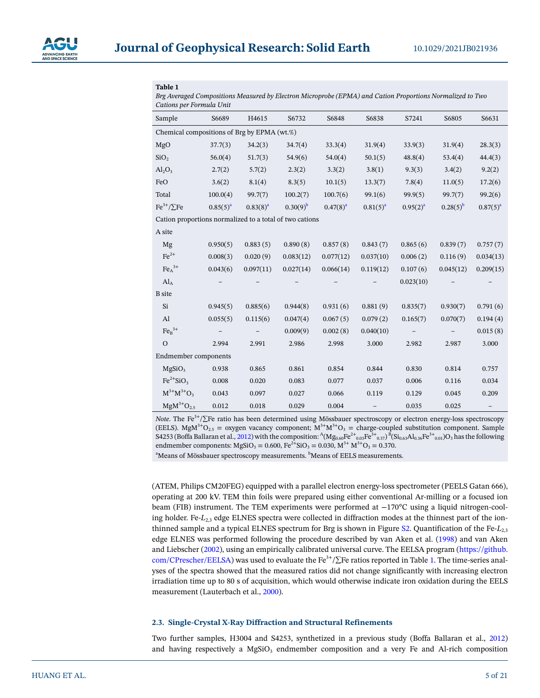

### <span id="page-4-0"></span>**Table 1**

*Brg Averaged Compositions Measured by Electron Microprobe (EPMA) and Cation Proportions Normalized to Two Cations per Formula Unit*

| Sample                                                  | S6689         | H4615         | S6732         | S6848         | S6838         | S7241         | S6805         | S6631         |  |
|---------------------------------------------------------|---------------|---------------|---------------|---------------|---------------|---------------|---------------|---------------|--|
| Chemical compositions of Brg by EPMA (wt.%)             |               |               |               |               |               |               |               |               |  |
| MgO                                                     | 37.7(3)       | 34.2(3)       | 34.7(4)       | 33.3(4)       | 31.9(4)       | 33.9(3)       | 31.9(4)       | 28.3(3)       |  |
| SiO <sub>2</sub>                                        | 56.0(4)       | 51.7(3)       | 54.9(6)       | 54.0(4)       | 50.1(5)       | 48.8(4)       | 53.4(4)       | 44.4(3)       |  |
| $Al_2O_3$                                               | 2.7(2)        | 5.7(2)        | 2.3(2)        | 3.3(2)        | 3.8(1)        | 9.3(3)        | 3.4(2)        | 9.2(2)        |  |
| FeO                                                     | 3.6(2)        | 8.1(4)        | 8.3(5)        | 10.1(5)       | 13.3(7)       | 7.8(4)        | 11.0(5)       | 17.2(6)       |  |
| Total                                                   | 100.0(4)      | 99.7(7)       | 100.2(7)      | 100.7(6)      | 99.1(6)       | 99.9(5)       | 99.7(7)       | 99.2(6)       |  |
| $\mathrm{Fe}^{3+}/\Sigma \mathrm{Fe}$                   | $0.85(5)^{a}$ | $0.83(8)^{a}$ | $0.30(9)^{b}$ | $0.47(8)^{a}$ | $0.81(5)^{a}$ | $0.95(2)^{a}$ | $0.28(5)^{b}$ | $0.87(5)^{a}$ |  |
| Cation proportions normalized to a total of two cations |               |               |               |               |               |               |               |               |  |
| A site                                                  |               |               |               |               |               |               |               |               |  |
| Mg                                                      | 0.950(5)      | 0.883(5)      | 0.890(8)      | 0.857(8)      | 0.843(7)      | 0.865(6)      | 0.839(7)      | 0.757(7)      |  |
| $\text{Fe}^{2+}$                                        | 0.008(3)      | 0.020(9)      | 0.083(12)     | 0.077(12)     | 0.037(10)     | 0.006(2)      | 0.116(9)      | 0.034(13)     |  |
| $FeA3+$                                                 | 0.043(6)      | 0.097(11)     | 0.027(14)     | 0.066(14)     | 0.119(12)     | 0.107(6)      | 0.045(12)     | 0.209(15)     |  |
| $\operatorname{Al}_A$                                   |               |               |               |               |               | 0.023(10)     |               |               |  |
| <b>B</b> site                                           |               |               |               |               |               |               |               |               |  |
| Si                                                      | 0.945(5)      | 0.885(6)      | 0.944(8)      | 0.931(6)      | 0.881(9)      | 0.835(7)      | 0.930(7)      | 0.791(6)      |  |
| Al                                                      | 0.055(5)      | 0.115(6)      | 0.047(4)      | 0.067(5)      | 0.079(2)      | 0.165(7)      | 0.070(7)      | 0.194(4)      |  |
| $Fe_B^{3+}$                                             |               |               | 0.009(9)      | 0.002(8)      | 0.040(10)     |               |               | 0.015(8)      |  |
| $\mathcal{O}$                                           | 2.994         | 2.991         | 2.986         | 2.998         | 3.000         | 2.982         | 2.987         | 3.000         |  |
| <b>Endmember</b> components                             |               |               |               |               |               |               |               |               |  |
| MgSiO <sub>3</sub>                                      | 0.938         | 0.865         | 0.861         | 0.854         | 0.844         | 0.830         | 0.814         | 0.757         |  |
| $Fe^{2+}SiO3$                                           | 0.008         | 0.020         | 0.083         | 0.077         | 0.037         | 0.006         | 0.116         | 0.034         |  |
| $M^{3+}M^{3+}O_3$                                       | 0.043         | 0.097         | 0.027         | 0.066         | 0.119         | 0.129         | 0.045         | 0.209         |  |
| $MgM^{3+}O_{2.5}$                                       | 0.012         | 0.018         | 0.029         | 0.004         |               | 0.035         | 0.025         |               |  |

*Note*. The Fe<sup>3+</sup>/∑Fe ratio has been determined using Mössbauer spectroscopy or electron energy-loss spectroscopy (EELS). MgM<sup>3+</sup>O<sub>2.5</sub> = oxygen vacancy component; M<sup>3+</sup>M<sup>3+</sup>O<sub>3</sub> = charge-coupled substitution component. Sample  $S4253$  (Boffa Ballaran et al., [2012\)](#page-17-2) with the composition:  ${}^{\rm A}({\rm Mg}_{0.60}{\rm Fe}^{2+}{}_{0.03}{\rm Fe}^{3+}{}_{0.37})^{\rm B}({\rm Si}_{0.63}{\rm Al}_{0.36}{\rm Fe}^{3+}{}_{0.01}){\rm O}_{3}$  has the following endmember components: MgSiO<sub>3</sub> = 0.600, Fe<sup>2+</sup>SiO<sub>3</sub> = 0.030, M<sup>3+</sup> M<sup>3+</sup>O<sub>3</sub> = 0.370.

<sup>a</sup>Means of Mössbauer spectroscopy measurements. <sup>b</sup>Means of EELS measurements.

(ATEM, Philips CM20FEG) equipped with a parallel electron energy-loss spectrometer (PEELS Gatan 666), operating at 200 kV. TEM thin foils were prepared using either conventional Ar-milling or a focused ion beam (FIB) instrument. The TEM experiments were performed at −170°C using a liquid nitrogen-cooling holder. Fe*-L*2,3 edge ELNES spectra were collected in diffraction modes at the thinnest part of the ionthinned sample and a typical ELNES spectrum for Brg is shown in Figure S2. Quantification of the Fe*-L*2,3 edge ELNES was performed following the procedure described by van Aken et al. [\(1998](#page-20-11)) and van Aken and Liebscher [\(2002\)](#page-20-12), using an empirically calibrated universal curve. The EELSA program ([https://github.](https://github.com/CPrescher/EELSA) [com/CPrescher/EELSA](https://github.com/CPrescher/EELSA)) was used to evaluate the Fe<sup>3+</sup>/ $\Sigma$ Fe ratios reported in Table [1](#page-4-0). The time-series analyses of the spectra showed that the measured ratios did not change significantly with increasing electron irradiation time up to 80 s of acquisition, which would otherwise indicate iron oxidation during the EELS measurement (Lauterbach et al., [2000](#page-19-0)).

# **2.3. Single-Crystal X-Ray Diffraction and Structural Refinements**

Two further samples, H3004 and S4253, synthetized in a previous study (Boffa Ballaran et al., [2012\)](#page-17-2) and having respectively a  $MgSiO<sub>3</sub>$  endmember composition and a very Fe and Al-rich composition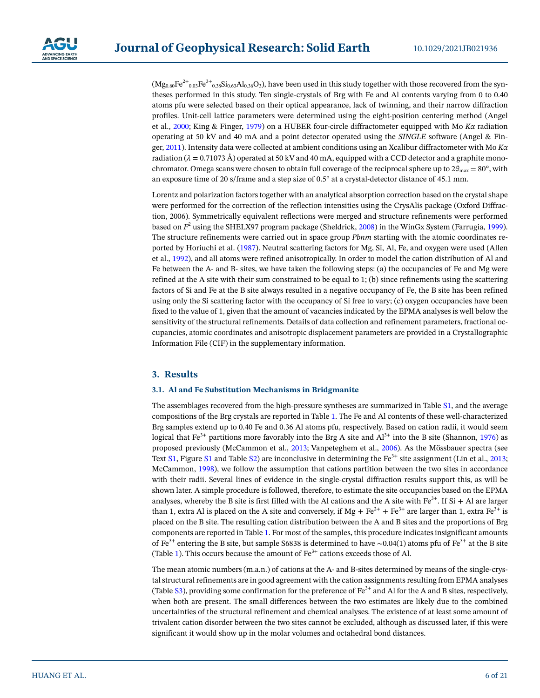$(Mg_{0.60}Fe^{2+}{}_{0.03}Fe^{3+}{}_{0.38}Si_{0.63}Al_{0.36}O_3)$ , have been used in this study together with those recovered from the syntheses performed in this study. Ten single-crystals of Brg with Fe and Al contents varying from 0 to 0.40 atoms pfu were selected based on their optical appearance, lack of twinning, and their narrow diffraction profiles. Unit-cell lattice parameters were determined using the eight-position centering method (Angel et al., [2000](#page-17-6); King & Finger, [1979\)](#page-18-19) on a HUBER four-circle diffractometer equipped with Mo *Kα* radiation operating at 50 kV and 40 mA and a point detector operated using the *SINGLE* software (Angel & Finger, [2011\)](#page-17-7). Intensity data were collected at ambient conditions using an Xcalibur diffractometer with Mo *Kα* radiation ( $\lambda = 0.71073$  Å) operated at 50 kV and 40 mA, equipped with a CCD detector and a graphite monochromator. Omega scans were chosen to obtain full coverage of the reciprocal sphere up to  $2\theta_{\text{max}} = 80^{\circ}$ , with an exposure time of 20 s/frame and a step size of 0.5° at a crystal-detector distance of 45.1 mm.

Lorentz and polarization factors together with an analytical absorption correction based on the crystal shape were performed for the correction of the reflection intensities using the CrysAlis package (Oxford Diffraction, 2006). Symmetrically equivalent reflections were merged and structure refinements were performed based on  $F^2$  using the SHELX97 program package (Sheldrick, [2008\)](#page-20-13) in the WinGx System (Farrugia, [1999\)](#page-18-20). The structure refinements were carried out in space group *Pbnm* starting with the atomic coordinates reported by Horiuchi et al. [\(1987\)](#page-18-10). Neutral scattering factors for Mg, Si, Al, Fe, and oxygen were used (Allen et al., [1992](#page-17-8)), and all atoms were refined anisotropically. In order to model the cation distribution of Al and Fe between the A- and B- sites, we have taken the following steps: (a) the occupancies of Fe and Mg were refined at the A site with their sum constrained to be equal to 1; (b) since refinements using the scattering factors of Si and Fe at the B site always resulted in a negative occupancy of Fe, the B site has been refined using only the Si scattering factor with the occupancy of Si free to vary; (c) oxygen occupancies have been fixed to the value of 1, given that the amount of vacancies indicated by the EPMA analyses is well below the sensitivity of the structural refinements. Details of data collection and refinement parameters, fractional occupancies, atomic coordinates and anisotropic displacement parameters are provided in a Crystallographic Information File (CIF) in the supplementary information.

# **3. Results**

#### **3.1. Al and Fe Substitution Mechanisms in Bridgmanite**

The assemblages recovered from the high-pressure syntheses are summarized in Table S1, and the average compositions of the Brg crystals are reported in Table [1](#page-4-0). The Fe and Al contents of these well-characterized Brg samples extend up to 0.40 Fe and 0.36 Al atoms pfu, respectively. Based on cation radii, it would seem logical that Fe<sup>3+</sup> partitions more favorably into the Brg A site and  $Al^{3+}$  into the B site (Shannon, [1976](#page-20-14)) as proposed previously (McCammon et al., [2013](#page-19-19); Vanpeteghem et al., [2006\)](#page-20-1). As the Mössbauer spectra (see Text S1, Figure S1 and Table S2) are inconclusive in determining the  $Fe^{3+}$  site assignment (Lin et al., [2013;](#page-19-20) McCammon, [1998](#page-19-21)), we follow the assumption that cations partition between the two sites in accordance with their radii. Several lines of evidence in the single-crystal diffraction results support this, as will be shown later. A simple procedure is followed, therefore, to estimate the site occupancies based on the EPMA analyses, whereby the B site is first filled with the Al cations and the A site with  $Fe^{3+}$ . If Si + Al are larger than 1, extra Al is placed on the A site and conversely, if Mg +  $Fe^{2+}$  +  $Fe^{3+}$  are larger than 1, extra  $Fe^{3+}$  is placed on the B site. The resulting cation distribution between the A and B sites and the proportions of Brg components are reported in Table [1.](#page-4-0) For most of the samples, this procedure indicates insignificant amounts of Fe3+ entering the B site, but sample S6838 is determined to have ∼0.04(1) atoms pfu of Fe3+ at the B site (Table [1\)](#page-4-0). This occurs because the amount of  $Fe<sup>3+</sup>$  cations exceeds those of Al.

The mean atomic numbers (m.a.n.) of cations at the A- and B-sites determined by means of the single-crystal structural refinements are in good agreement with the cation assignments resulting from EPMA analyses (Table S3), providing some confirmation for the preference of  $Fe<sup>3+</sup>$  and Al for the A and B sites, respectively, when both are present. The small differences between the two estimates are likely due to the combined uncertainties of the structural refinement and chemical analyses. The existence of at least some amount of trivalent cation disorder between the two sites cannot be excluded, although as discussed later, if this were significant it would show up in the molar volumes and octahedral bond distances.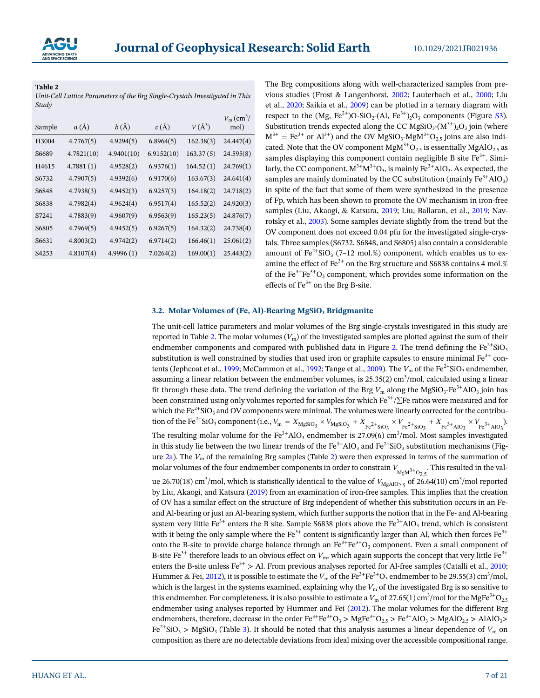

<span id="page-6-0"></span>**Table 2** 

*Unit-Cell Lattice Parameters of the Brg Single-Crystals Investigated in This Study*

| Sample            | $a(\AA)$   | b(A)       | c(A)       | $V(A^3)$  | $V_{\rm m}$ (cm <sup>3</sup> /<br>mol) |
|-------------------|------------|------------|------------|-----------|----------------------------------------|
| H <sub>3004</sub> | 4.7767(5)  | 4.9294(5)  | 6.8964(5)  | 162.38(3) | 24.447(4)                              |
| S6689             | 4.7821(10) | 4.9401(10) | 6.9152(10) | 163.37(5) | 24.595(8)                              |
| H4615             | 4.7881(1)  | 4.9528(2)  | 6.9376(1)  | 164.52(1) | 24.769(1)                              |
| S6732             | 4.7907(5)  | 4.9392(6)  | 6.9170(6)  | 163.67(3) | 24.641(4)                              |
| S6848             | 4.7938(3)  | 4.9452(3)  | 6.9257(3)  | 164.18(2) | 24.718(2)                              |
| S6838             | 4.7982(4)  | 4.9624(4)  | 6.9517(4)  | 165.52(2) | 24.920(3)                              |
| S7241             | 4.7883(9)  | 4.9607(9)  | 6.9563(9)  | 165.23(5) | 24.876(7)                              |
| S6805             | 4.7969(5)  | 4.9452(5)  | 6.9267(5)  | 164.32(2) | 24.738(4)                              |
| S6631             | 4.8003(2)  | 4.9742(2)  | 6.9714(2)  | 166.46(1) | 25.061(2)                              |
| S <sub>4253</sub> | 4.8107(4)  | 4.9996(1)  | 7.0264(2)  | 169.00(1) | 25.443(2)                              |
|                   |            |            |            |           |                                        |

The Brg compositions along with well-characterized samples from previous studies (Frost & Langenhorst, [2002](#page-18-5); Lauterbach et al., [2000](#page-19-0); Liu et al., [2020;](#page-19-22) Saikia et al., [2009\)](#page-19-11) can be plotted in a ternary diagram with respect to the  $(Mg, Fe^{2+})O-SiO_2-(Al, Fe^{3+})_2O_3$  components (Figure S3). Substitution trends expected along the CC MgSiO<sub>3</sub>- $(M^{3+})_2O_3$  join (where  $M^{3+} = Fe^{3+}$  or  $Al^{3+}$ ) and the OV MgSiO<sub>3</sub>-MgM<sup>3+</sup>O<sub>2.5</sub> joins are also indicated. Note that the OV component  $MgM^{3+}O_{2.5}$  is essentially  $MgAlO_{2.5}$  as samples displaying this component contain negligible B site  $Fe<sup>3+</sup>$ . Similarly, the CC component,  $M^{3+}M^{3+}O_3$ , is mainly Fe<sup>3+</sup>AlO<sub>3</sub>. As expected, the samples are mainly dominated by the CC substitution (mainly  $\text{Fe}^{3+}\text{AlO}_3$ ) in spite of the fact that some of them were synthesized in the presence of Fp, which has been shown to promote the OV mechanism in iron-free samples (Liu, Akaogi, & Katsura, [2019](#page-19-13); Liu, Ballaran, et al., [2019](#page-19-14); Navrotsky et al., [2003\)](#page-19-3). Some samples deviate slightly from the trend but the OV component does not exceed 0.04 pfu for the investigated single-crystals. Three samples (S6732, S6848, and S6805) also contain a considerable amount of Fe<sup>2+</sup>SiO<sub>3</sub> (7–12 mol.%) component, which enables us to examine the effect of  $Fe^{2+}$  on the Brg structure and S6838 contains 4 mol.% of the  $Fe^{3+}Fe^{3+}O_3$  component, which provides some information on the effects of  $Fe<sup>3+</sup>$  on the Brg B-site.

# **3.2. Molar Volumes of (Fe, Al)-Bearing MgSiO<sub>3</sub> Bridgmanite**

The unit-cell lattice parameters and molar volumes of the Brg single-crystals investigated in this study are reported in Table [2](#page-6-0). The molar volumes  $(V_m)$  of the investigated samples are plotted against the sum of their endmember components and compared with published data in Figure [2.](#page-7-0) The trend defining the  $Fe^{2+}SiO<sub>3</sub>$ substitution is well constrained by studies that used iron or graphite capsules to ensure minimal  $Fe^{3+}$  con-tents (Jephcoat et al., [1999](#page-18-15); McCammon et al., [1992;](#page-19-1) Tange et al., [2009\)](#page-20-8). The  $V_m$  of the Fe<sup>2+</sup>SiO<sub>3</sub> endmember, assuming a linear relation between the endmember volumes, is  $25.35(2)$  cm<sup>3</sup>/mol, calculated using a linear fit through these data. The trend defining the variation of the Brg  $V_m$  along the MgSiO<sub>3</sub>-Fe<sup>3+</sup>AlO<sub>3</sub> join has been constrained using only volumes reported for samples for which Fe<sup>3+</sup>/∑Fe ratios were measured and for which the  $Fe^{2+}SiO_3$  and OV components were minimal. The volumes were linearly corrected for the contribution of the Fe<sup>2+</sup>SiO<sub>3</sub> component (i.e.,  $V_m = X_{MgSiO_3} \times V_{MgSiO_3} + X_{Fe^{2+}SiO_3} \times V_{Fe^{2+}SiO_3} + X_{Fe^{3+}AlO_3} \times V_{Fe^{3+}AlO_3}$ ). The resulting molar volume for the  $Fe^{3+}AlO_3$  endmember is 27.09(6) cm<sup>3</sup>/mol. Most samples investigated in this study lie between the two linear trends of the  $Fe^{3+}AlO_3$  and  $Fe^{2+}SiO_3$  substitution mechanisms (Figure [2a](#page-7-0)). The *V*m of the remaining Brg samples (Table [2](#page-6-0)) were then expressed in terms of the summation of molar volumes of the four endmember components in order to constrain  $V_{MgM^{3+}O_{2.5}}$ . This resulted in the value 26.70(18) cm<sup>3</sup>/mol, which is statistically identical to the value of  $V_{\text{MgAlO}_{2.5}}$  of 26.64(10) cm<sup>3</sup>/mol reported by Liu, Akaogi, and Katsura ([2019\)](#page-19-13) from an examination of iron-free samples. This implies that the creation of OV has a similar effect on the structure of Brg independent of whether this substitution occurs in an Feand Al-bearing or just an Al-bearing system, which further supports the notion that in the Fe- and Al-bearing system very little Fe<sup>3+</sup> enters the B site. Sample S6838 plots above the Fe<sup>3+</sup>AlO<sub>3</sub> trend, which is consistent with it being the only sample where the  $Fe^{3+}$  content is significantly larger than Al, which then forces  $Fe^{3+}$ onto the B-site to provide charge balance through an  $Fe^{3+}Fe^{3+}O_3$  component. Even a small component of B-site Fe<sup>3+</sup> therefore leads to an obvious effect on  $V_m$ , which again supports the concept that very little Fe<sup>3+</sup> enters the B-site unless Fe<sup>3+</sup> > Al. From previous analyses reported for Al-free samples (Catalli et al., [2010;](#page-17-4) Hummer & Fei, [2012](#page-18-17)), it is possible to estimate the  $V_m$  of the Fe $^{3+}$ Fe $^{3+}$ O<sub>3</sub> endmember to be 29.55(3) cm $^3$ /mol, which is the largest in the systems examined, explaining why the  $V<sub>m</sub>$  of the investigated Brg is so sensitive to this endmember. For completeness, it is also possible to estimate a  $V_{\rm m}$  of 27.65(1) cm $^3$ /mol for the MgFe $^{\rm 3+}$ O $_{2.5}$ endmember using analyses reported by Hummer and Fei [\(2012\)](#page-18-17). The molar volumes for the different Brg endmembers, therefore, decrease in the order  $\text{Fe}^{3+}\text{Fe}^{3+}\text{O}_3$  >  $\text{MgFe}^{3+}\text{O}_{2.5}$  >  $\text{Fe}^{3+}\text{AlO}_3$  >  $\text{MgAlO}_{2.5}$  > AlAlO<sub>3</sub>> Fe<sup>2+</sup>SiO<sub>3</sub> > MgSiO<sub>3</sub> (Table [3\)](#page-8-0). It should be noted that this analysis assumes a linear dependence of  $V_m$  on composition as there are no detectable deviations from ideal mixing over the accessible compositional range.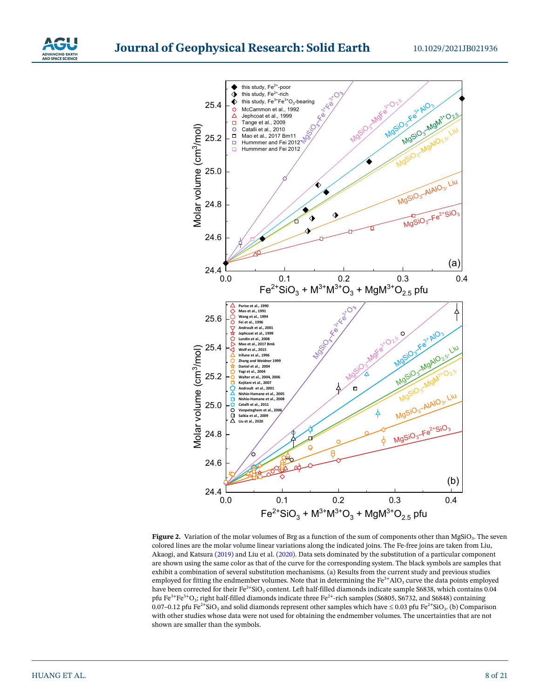



<span id="page-7-0"></span>**Figure 2.** Variation of the molar volumes of Brg as a function of the sum of components other than MgSiO<sub>3</sub>. The seven colored lines are the molar volume linear variations along the indicated joins. The Fe-free joins are taken from Liu, Akaogi, and Katsura [\(2019](#page-19-13)) and Liu et al. [\(2020\)](#page-19-22). Data sets dominated by the substitution of a particular component are shown using the same color as that of the curve for the corresponding system. The black symbols are samples that exhibit a combination of several substitution mechanisms. (a) Results from the current study and previous studies employed for fitting the endmember volumes. Note that in determining the  $Fe<sup>3+</sup>AlO<sub>3</sub>$  curve the data points employed have been corrected for their Fe<sup>2+</sup>SiO<sub>3</sub> content. Left half-filled diamonds indicate sample S6838, which contains 0.04 pfu Fe<sup>3+</sup>Fe<sup>3+</sup>O<sub>3</sub>; right half-filled diamonds indicate three Fe<sup>2+</sup>-rich samples (S6805, S6732, and S6848) containing 0.07–0.12 pfu Fe<sup>2+</sup>SiO<sub>3</sub> and solid diamonds represent other samples which have  $\leq$  0.03 pfu Fe<sup>2+</sup>SiO<sub>3</sub>. (b) Comparison with other studies whose data were not used for obtaining the endmember volumes. The uncertainties that are not shown are smaller than the symbols.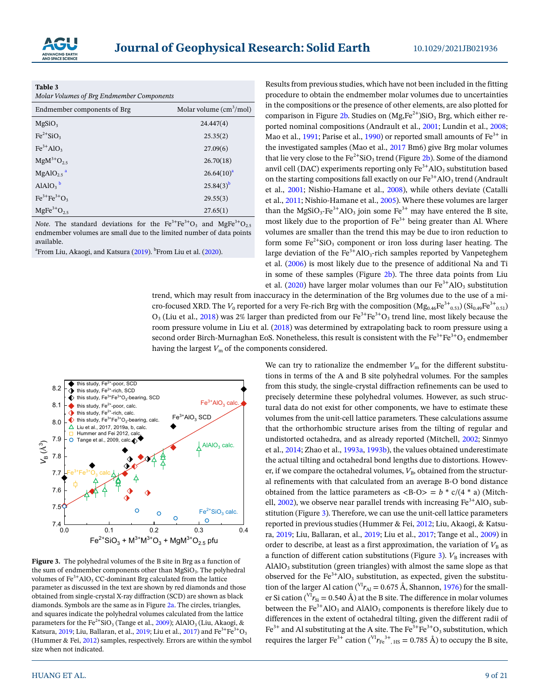

<span id="page-8-0"></span>

| Table 3                                   |  |
|-------------------------------------------|--|
| Molar Volumes of Brg Endmember Components |  |

| Endmember components of Brg | Molar volume $\text{(cm}^3/\text{mol})$ |
|-----------------------------|-----------------------------------------|
| MgSiO <sub>3</sub>          | 24.447(4)                               |
| $Fe^{2+}SiO3$               | 25.35(2)                                |
| $Fe3+AlO3$                  | 27.09(6)                                |
| $MgM^{3+}O_{2.5}$           | 26.70(18)                               |
| $MgAlO2.5$ <sup>a</sup>     | $26.64(10)^{a}$                         |
| $AlAlO3$ <sup>b</sup>       | $25.84(3)^{b}$                          |
| $Fe^{3+}Fe^{3+}O_3$         | 29.55(3)                                |
| $MgFe3+O2.5$                | 27.65(1)                                |

*Note*. The standard deviations for the Fe<sup>3+</sup>Fe<sup>3+</sup>O<sub>3</sub> and MgFe<sup>3+</sup>O<sub>2.5</sub> endmember volumes are small due to the limited number of data points available.

<sup>a</sup>From Liu, Akaogi, and Katsura (2<mark>019</mark>). <sup>b</sup>From Liu et al. [\(2020\)](#page-19-22).

Results from previous studies, which have not been included in the fitting procedure to obtain the endmember molar volumes due to uncertainties in the compositions or the presence of other elements, are also plotted for comparison in Figure [2b](#page-7-0). Studies on  $(Mg,Fe^{2+})SiO<sub>3</sub>$  Brg, which either reported nominal compositions (Andrault et al., [2001](#page-17-9); Lundin et al., [2008;](#page-19-8) Mao et al., [1991](#page-19-23); Parise et al., [1990\)](#page-19-12) or reported small amounts of  $Fe<sup>3+</sup>$  in the investigated samples (Mao et al., [2017](#page-19-6) Bm6) give Brg molar volumes that lie very close to the  $Fe^{2+}SiO_3$  trend (Figure [2b\)](#page-7-0). Some of the diamond anvil cell (DAC) experiments reporting only  $Fe^{3+}AlO_3$  substitution based on the starting compositions fall exactly on our  $\text{Fe}^{3+}\text{AlO}_3$  trend (Andrault et al., [2001](#page-17-9); Nishio-Hamane et al., [2008\)](#page-19-9), while others deviate (Catalli et al., [2011;](#page-17-5) Nishio-Hamane et al., [2005](#page-19-24)). Where these volumes are larger than the MgSiO<sub>3</sub>-Fe<sup>3+</sup>AlO<sub>3</sub> join some Fe<sup>3+</sup> may have entered the B site, most likely due to the proportion of  $Fe<sup>3+</sup>$  being greater than Al. Where volumes are smaller than the trend this may be due to iron reduction to form some  $Fe^{2+}SiO_3$  component or iron loss during laser heating. The large deviation of the  $Fe^{3+}AlO_3$ -rich samples reported by Vanpeteghem et al. ([2006](#page-20-1)) is most likely due to the presence of additional Na and Ti in some of these samples (Figure  $2b$ ). The three data points from Liu et al. [\(2020](#page-19-22)) have larger molar volumes than our  $Fe^{3+}AlO_3$  substitution

trend, which may result from inaccuracy in the determination of the Brg volumes due to the use of a micro-focused XRD. The  $V_0$  reported for a very Fe-rich Brg with the composition  $(Mg_{0.46}Fe^{3+}{}_{0.53})$  (Si<sub>0.49</sub>Fe<sup>3+</sup><sub>0.51</sub>)  $O_3$  (Liu et al., [2018\)](#page-19-25) was 2% larger than predicted from our Fe<sup>3+</sup>Fe<sup>3+</sup>O<sub>3</sub> trend line, most likely because the room pressure volume in Liu et al. ([2018](#page-19-25)) was determined by extrapolating back to room pressure using a second order Birch-Murnaghan EoS. Nonetheless, this result is consistent with the Fe<sup>3+</sup>Fe<sup>3+</sup>O<sub>3</sub> endmember having the largest  $V_m$  of the components considered.



<span id="page-8-1"></span>**Figure 3.** The polyhedral volumes of the B site in Brg as a function of the sum of endmember components other than  $MgSiO<sub>3</sub>$ . The polyhedral volumes of  $Fe<sup>3+</sup>AlO<sub>3</sub> CC-dominant Brg calculated from the lattice$ parameter as discussed in the text are shown by red diamonds and those obtained from single-crystal X-ray diffraction (SCD) are shown as black diamonds. Symbols are the same as in Figure [2a.](#page-7-0) The circles, triangles, and squares indicate the polyhedral volumes calculated from the lattice parameters for the Fe<sup>2+</sup>SiO<sub>3</sub> (Tange et al., [2009](#page-20-8)); AlAlO<sub>3</sub> (Liu, Akaogi, & Katsura, [2019](#page-19-14); Liu, Ballaran, et al., 2019; Liu et al., [2017](#page-19-15)) and  $\text{Fe}^{3+}\text{Fe}^{3+}\text{O}_3$ (Hummer & Fei, [2012\)](#page-18-17) samples, respectively. Errors are within the symbol size when not indicated.

We can try to rationalize the endmember  $V_m$  for the different substitutions in terms of the A and B site polyhedral volumes. For the samples from this study, the single-crystal diffraction refinements can be used to precisely determine these polyhedral volumes. However, as such structural data do not exist for other components, we have to estimate these volumes from the unit-cell lattice parameters. These calculations assume that the orthorhombic structure arises from the tilting of regular and undistorted octahedra, and as already reported (Mitchell, [2002](#page-19-26); Sinmyo et al., [2014](#page-20-15); Zhao et al., [1993a,](#page-20-16) [1993b\)](#page-20-17), the values obtained underestimate the actual tilting and octahedral bond lengths due to distortions. However, if we compare the octahedral volumes,  $V_{\text{B}}$ , obtained from the structural refinements with that calculated from an average B-O bond distance obtained from the lattice parameters as  $\langle B-O \rangle = b * c/(4 * a)$  (Mitchell,  $2002$ ), we observe near parallel trends with increasing  $Fe<sup>3+</sup>AlO<sub>3</sub>$  substitution (Figure [3](#page-8-1)). Therefore, we can use the unit-cell lattice parameters reported in previous studies (Hummer & Fei, [2012](#page-18-17); Liu, Akaogi, & Katsura, [2019](#page-19-13); Liu, Ballaran, et al., [2019;](#page-19-14) Liu et al., [2017;](#page-19-15) Tange et al., [2009\)](#page-20-8) in order to describe, at least as a first approximation, the variation of  $V<sub>B</sub>$  as a function of different cation substitutions (Figure [3](#page-8-1)).  $V<sub>B</sub>$  increases with  $AIAIO<sub>3</sub>$  substitution (green triangles) with almost the same slope as that observed for the  $Fe<sup>3+</sup>AIO<sub>3</sub>$  substitution, as expected, given the substitution of the larger Al cation ( $V<sup>T</sup> r<sub>Al</sub> = 0.675$  Å, Shannon, [1976\)](#page-20-14) for the smaller Si cation ( $V<sup>T</sup>r<sub>Si</sub> = 0.540$  Å) at the B site. The difference in molar volumes between the  $Fe^{3+}AlO_3$  and  $AlAlO_3$  components is therefore likely due to differences in the extent of octahedral tilting, given the different radii of  $Fe<sup>3+</sup>$  and Al substituting at the A site. The  $Fe<sup>3+</sup>Fe<sup>3+</sup>O<sub>3</sub>$  substitution, which requires the larger Fe<sup>3+</sup> cation ( $\rm{V}^{T}$  $r_{Fe}^{3+}$ ,  $_{HS}$  = 0.785 Å) to occupy the B site,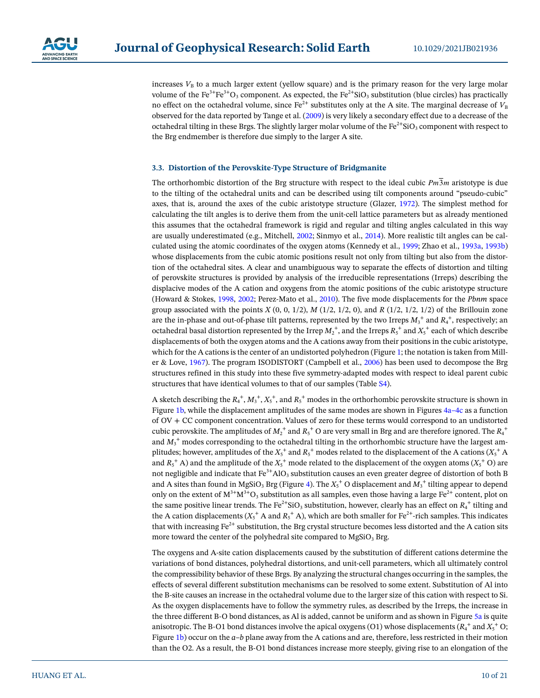

increases  $V<sub>B</sub>$  to a much larger extent (yellow square) and is the primary reason for the very large molar volume of the Fe<sup>3+</sup>Fe<sup>3+</sup>O<sub>3</sub> component. As expected, the Fe<sup>2+</sup>SiO<sub>3</sub> substitution (blue circles) has practically no effect on the octahedral volume, since  $\text{Fe}^{2+}$  substitutes only at the A site. The marginal decrease of  $V_{\text{B}}$ observed for the data reported by Tange et al. ([2009](#page-20-8)) is very likely a secondary effect due to a decrease of the octahedral tilting in these Brgs. The slightly larger molar volume of the  $Fe^{2+}SiO<sub>3</sub>$  component with respect to the Brg endmember is therefore due simply to the larger A site.

#### <span id="page-9-0"></span>**3.3. Distortion of the Perovskite-Type Structure of Bridgmanite**

The orthorhombic distortion of the Brg structure with respect to the ideal cubic  $Pm\overline{3}m$  aristotype is due to the tilting of the octahedral units and can be described using tilt components around "pseudo-cubic" axes, that is, around the axes of the cubic aristotype structure (Glazer, [1972\)](#page-18-12). The simplest method for calculating the tilt angles is to derive them from the unit-cell lattice parameters but as already mentioned this assumes that the octahedral framework is rigid and regular and tilting angles calculated in this way are usually underestimated (e.g., Mitchell, [2002](#page-19-26); Sinmyo et al., [2014\)](#page-20-15). More realistic tilt angles can be calculated using the atomic coordinates of the oxygen atoms (Kennedy et al., [1999](#page-18-21); Zhao et al., [1993a,](#page-20-16) [1993b\)](#page-20-17) whose displacements from the cubic atomic positions result not only from tilting but also from the distortion of the octahedral sites. A clear and unambiguous way to separate the effects of distortion and tilting of perovskite structures is provided by analysis of the irreducible representations (Irreps) describing the displacive modes of the A cation and oxygens from the atomic positions of the cubic aristotype structure (Howard & Stokes, [1998](#page-18-13), [2002;](#page-18-22) Perez-Mato et al., [2010](#page-19-27)). The five mode displacements for the *Pbnm* space group associated with the points  $X(0, 0, 1/2)$ ,  $M(1/2, 1/2, 0)$ , and  $R(1/2, 1/2, 1/2)$  of the Brillouin zone are the in-phase and out-of-phase tilt patterns, represented by the two Irreps  $M_3^+$  and  $R_4^+$ , respectively; an octahedral basal distortion represented by the Irrep  $M_2^+$ , and the Irreps  $R_5^+$  and  $X_5^+$  each of which describe displacements of both the oxygen atoms and the A cations away from their positions in the cubic aristotype, which for the A cations is the center of an undistorted polyhedron (Figure [1;](#page-2-0) the notation is taken from Miller & Love, [1967\)](#page-19-28). The program ISODISTORT (Campbell et al., [2006\)](#page-17-10) has been used to decompose the Brg structures refined in this study into these five symmetry-adapted modes with respect to ideal parent cubic structures that have identical volumes to that of our samples (Table S4).

A sketch describing the  $R_4^+, M_3^+, X_5^+,$  and  $R_5^+$  modes in the orthorhombic perovskite structure is shown in Figure [1b,](#page-2-0) while the displacement amplitudes of the same modes are shown in Figures [4a–4c](#page-10-0) as a function of OV + CC component concentration. Values of zero for these terms would correspond to an undistorted cubic perovskite. The amplitudes of  $M_2^+$  and  $R_5^+$  O are very small in Brg and are therefore ignored. The  $R_4^+$ and  $M_3^{\,+}$  modes corresponding to the octahedral tilting in the orthorhombic structure have the largest amplitudes; however, amplitudes of the  $X_5^+$  and  $R_5^+$  modes related to the displacement of the A cations ( $X_5^+$  A and  $R_5^+$  A) and the amplitude of the  $X_5^+$  mode related to the displacement of the oxygen atoms  $(X_5^+$  O) are not negligible and indicate that  $Fe^{3+}AlO_3$  substitution causes an even greater degree of distortion of both B and A sites than found in MgSiO<sub>3</sub> Brg (Figure [4\)](#page-10-0). The  $X_5^+$  O displacement and  $M_3^+$  tilting appear to depend only on the extent of  $M^{3+}M^{3+}O_3$  substitution as all samples, even those having a large Fe<sup>2+</sup> content, plot on the same positive linear trends. The Fe<sup>2+</sup>SiO<sub>3</sub> substitution, however, clearly has an effect on  $R_4^+$  tilting and the A cation displacements ( $X_5^+$  A and  $R_5^+$  A), which are both smaller for Fe<sup>2+</sup>-rich samples. This indicates that with increasing  $Fe^{2+}$  substitution, the Brg crystal structure becomes less distorted and the A cation sits more toward the center of the polyhedral site compared to  $MgSiO<sub>3</sub>$  Brg.

The oxygens and A-site cation displacements caused by the substitution of different cations determine the variations of bond distances, polyhedral distortions, and unit-cell parameters, which all ultimately control the compressibility behavior of these Brgs. By analyzing the structural changes occurring in the samples, the effects of several different substitution mechanisms can be resolved to some extent. Substitution of Al into the B-site causes an increase in the octahedral volume due to the larger size of this cation with respect to Si. As the oxygen displacements have to follow the symmetry rules, as described by the Irreps, the increase in the three different B-O bond distances, as Al is added, cannot be uniform and as shown in Figure [5a](#page-11-0) is quite anisotropic. The B-O1 bond distances involve the apical oxygens (O1) whose displacements ( $R_4^+$  and  $X_5^+$  O; Figure [1b\)](#page-2-0) occur on the *a*–*b* plane away from the A cations and are, therefore, less restricted in their motion than the O2. As a result, the B-O1 bond distances increase more steeply, giving rise to an elongation of the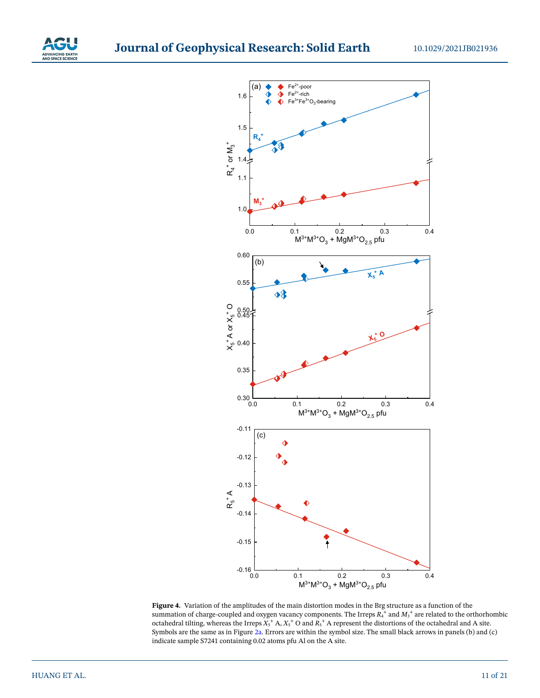



<span id="page-10-0"></span>**Figure 4.** Variation of the amplitudes of the main distortion modes in the Brg structure as a function of the summation of charge-coupled and oxygen vacancy components. The Irreps  $R_4^+$  and  $M_3^+$  are related to the orthorhombic octahedral tilting, whereas the Irreps  $X_5^+$  A,  $X_5^+$  O and  $R_5^+$  A represent the distortions of the octahedral and A site. Symbols are the same as in Figure [2a.](#page-7-0) Errors are within the symbol size. The small black arrows in panels (b) and (c) indicate sample S7241 containing 0.02 atoms pfu Al on the A site.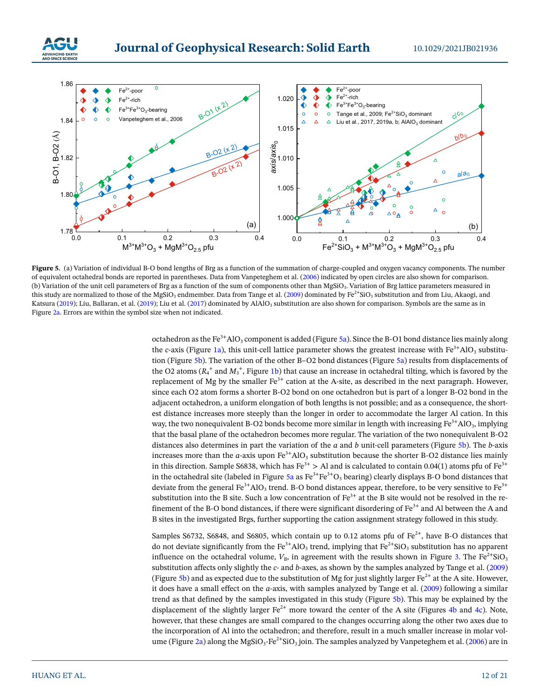



<span id="page-11-0"></span>Figure 5. (a) Variation of individual B-O bond lengths of Brg as a function of the summation of charge-coupled and oxygen vacancy components. The number of equivalent octahedral bonds are reported in parentheses. Data from Vanpeteghem et al. [\(2006](#page-20-1)) indicated by open circles are also shown for comparison. (b) Variation of the unit cell parameters of Brg as a function of the sum of components other than MgSiO3. Variation of Brg lattice parameters measured in this study are normalized to those of the MgSiO<sub>3</sub> endmember. Data from Tange et al. [\(2009\)](#page-20-8) dominated by  $Fe^{2+}SiO_3$  substitution and from Liu, Akaogi, and Katsura [\(2019](#page-19-13)); Liu, Ballaran, et al. ([2019](#page-19-14)); Liu et al. [\(2017](#page-19-15)) dominated by AlAlO<sub>3</sub> substitution are also shown for comparison. Symbols are the same as in Figure [2a.](#page-7-0) Errors are within the symbol size when not indicated.

octahedron as the Fe<sup>3+</sup>AlO<sub>3</sub> component is added (Figure [5a](#page-11-0)). Since the B-O1 bond distance lies mainly along the *c*-axis (Figure [1a\)](#page-2-0), this unit-cell lattice parameter shows the greatest increase with  $Fe<sup>3+</sup>AO<sub>3</sub>$  substitution (Figure [5b](#page-11-0)). The variation of the other B–O2 bond distances (Figure [5a](#page-11-0)) results from displacements of the O2 atoms  $(R_4^+$  and  $M_3^+$ , Figure [1b](#page-2-0)) that cause an increase in octahedral tilting, which is favored by the replacement of Mg by the smaller  $Fe<sup>3+</sup>$  cation at the A-site, as described in the next paragraph. However, since each O2 atom forms a shorter B-O2 bond on one octahedron but is part of a longer B-O2 bond in the adjacent octahedron, a uniform elongation of both lengths is not possible; and as a consequence, the shortest distance increases more steeply than the longer in order to accommodate the larger Al cation. In this way, the two nonequivalent B-O2 bonds become more similar in length with increasing  $Fe^{3+}AlO_3$ , implying that the basal plane of the octahedron becomes more regular. The variation of the two nonequivalent B-O2 distances also determines in part the variation of the *a* and *b* unit-cell parameters (Figure [5b\)](#page-11-0). The *b*-axis increases more than the *a*-axis upon  $\text{Fe}^{3+}\text{AlO}_3$  substitution because the shorter B-O2 distance lies mainly in this direction. Sample S6838, which has  $\text{Fe}^{3+} > \text{Al}$  and is calculated to contain 0.04(1) atoms pfu of  $\text{Fe}^{3+}$ in the octahedral site (labeled in Figure [5a](#page-11-0) as  $Fe^{3+}Fe^{3+}O_3$  bearing) clearly displays B-O bond distances that deviate from the general  $Fe^{3+}AlO_3$  trend. B-O bond distances appear, therefore, to be very sensitive to  $Fe^{3+}$ substitution into the B site. Such a low concentration of  $Fe^{3+}$  at the B site would not be resolved in the refinement of the B-O bond distances, if there were significant disordering of  $Fe<sup>3+</sup>$  and Al between the A and B sites in the investigated Brgs, further supporting the cation assignment strategy followed in this study.

Samples S6732, S6848, and S6805, which contain up to 0.12 atoms pfu of  $Fe^{2+}$ , have B-O distances that do not deviate significantly from the Fe<sup>3+</sup>AlO<sub>3</sub> trend, implying that Fe<sup>2+</sup>SiO<sub>3</sub> substitution has no apparent influence on the octahedral volume,  $V_{\text{B}}$ , in agreement with the results shown in Figure [3](#page-8-1). The Fe<sup>2+</sup>SiO<sub>3</sub> substitution affects only slightly the *c*- and *b*-axes, as shown by the samples analyzed by Tange et al. [\(2009\)](#page-20-8) (Figure [5b\)](#page-11-0) and as expected due to the substitution of Mg for just slightly larger  $Fe^{2+}$  at the A site. However, it does have a small effect on the *a*-axis, with samples analyzed by Tange et al. [\(2009](#page-20-8)) following a similar trend as that defined by the samples investigated in this study (Figure [5b\)](#page-11-0). This may be explained by the displacement of the slightly larger  $Fe^{2+}$  more toward the center of the A site (Figures [4b](#page-10-0) and [4c](#page-10-0)). Note, however, that these changes are small compared to the changes occurring along the other two axes due to the incorporation of Al into the octahedron; and therefore, result in a much smaller increase in molar vol-ume (Figure [2a](#page-7-0)) along the MgSiO<sub>3</sub>-Fe<sup>2+</sup>SiO<sub>3</sub> join. The samples analyzed by Vanpeteghem et al. ([2006](#page-20-1)) are in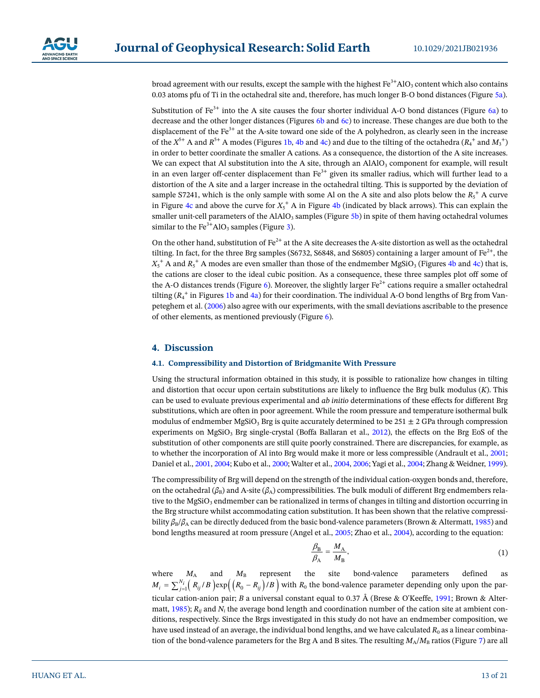broad agreement with our results, except the sample with the highest  $Fe^{3+}AlO_3$  content which also contains 0.03 atoms pfu of Ti in the octahedral site and, therefore, has much longer B-O bond distances (Figure [5a](#page-11-0)).

Substitution of  $Fe<sup>3+</sup>$  into the A site causes the four shorter individual A-O bond distances (Figure [6a\)](#page-13-0) to decrease and the other longer distances (Figures [6b](#page-13-0) and [6c](#page-13-0)) to increase. These changes are due both to the displacement of the  $Fe<sup>3+</sup>$  at the A-site toward one side of the A polyhedron, as clearly seen in the increase of the  $X^{5+}$  A and  $R^{5+}$  A modes (Figures [1b,](#page-2-0) [4b](#page-10-0) and [4c\)](#page-10-0) and due to the tilting of the octahedra ( $R_4$ <sup>+</sup> and  $M_3$ <sup>+</sup>) in order to better coordinate the smaller A cations. As a consequence, the distortion of the A site increases. We can expect that Al substitution into the A site, through an  $AIAIO_3$  component for example, will result in an even larger off-center displacement than  $Fe^{3+}$  given its smaller radius, which will further lead to a distortion of the A site and a larger increase in the octahedral tilting. This is supported by the deviation of sample S7241, which is the only sample with some Al on the A site and also plots below the  $R_5^+$  A curve in Figure [4c](#page-10-0) and above the curve for  $X_5^+$  A in Figure [4b](#page-10-0) (indicated by black arrows). This can explain the smaller unit-cell parameters of the  $AIAIO_3$  samples (Figure [5b](#page-11-0)) in spite of them having octahedral volumes similar to the  $Fe<sup>3+</sup>AlO<sub>3</sub>$  $Fe<sup>3+</sup>AlO<sub>3</sub>$  $Fe<sup>3+</sup>AlO<sub>3</sub>$  samples (Figure 3).

On the other hand, substitution of  $Fe^{2+}$  at the A site decreases the A-site distortion as well as the octahedral tilting. In fact, for the three Brg samples (S6732, S6848, and S6805) containing a larger amount of  $Fe^{2+}$ , the  $X_5$ <sup>+</sup> A and  $R_5$ <sup>+</sup> A modes are even smaller than those of the endmember MgSiO<sub>3</sub> (Figures [4b](#page-10-0) and [4c\)](#page-10-0) that is, the cations are closer to the ideal cubic position. As a consequence, these three samples plot off some of the A-O distances trends (Figure [6\)](#page-13-0). Moreover, the slightly larger  $\text{Fe}^{2+}$  cations require a smaller octahedral tilting ( $R_4^+$  in Figures [1b](#page-2-0) and [4a\)](#page-10-0) for their coordination. The individual A-O bond lengths of Brg from Vanpeteghem et al. [\(2006\)](#page-20-1) also agree with our experiments, with the small deviations ascribable to the presence of other elements, as mentioned previously (Figure [6](#page-13-0)).

# **4. Discussion**

#### **4.1. Compressibility and Distortion of Bridgmanite With Pressure**

Using the structural information obtained in this study, it is possible to rationalize how changes in tilting and distortion that occur upon certain substitutions are likely to influence the Brg bulk modulus (*K*). This can be used to evaluate previous experimental and *ab initio* determinations of these effects for different Brg substitutions, which are often in poor agreement. While the room pressure and temperature isothermal bulk modulus of endmember MgSiO<sub>3</sub> Brg is quite accurately determined to be 251  $\pm$  2 GPa through compression experiments on MgSiO<sub>3</sub> Brg single-crystal (Boffa Ballaran et al., [2012\)](#page-17-2), the effects on the Brg EoS of the substitution of other components are still quite poorly constrained. There are discrepancies, for example, as to whether the incorporation of Al into Brg would make it more or less compressible (Andrault et al., [2001;](#page-17-9) Daniel et al., [2001,](#page-18-23) [2004;](#page-17-11) Kubo et al., [2000](#page-18-24); Walter et al., [2004](#page-20-2), [2006](#page-20-3); Yagi et al., [2004;](#page-20-18) Zhang & Weidner, [1999\)](#page-20-19).

The compressibility of Brg will depend on the strength of the individual cation-oxygen bonds and, therefore, on the octahedral ( $\beta_B$ ) and A-site ( $\beta_A$ ) compressibilities. The bulk moduli of different Brg endmembers relative to the  $MgSiO<sub>3</sub>$  endmember can be rationalized in terms of changes in tilting and distortion occurring in the Brg structure whilst accommodating cation substitution. It has been shown that the relative compressibility  $β_B/β_A$  can be directly deduced from the basic bond-valence parameters (Brown & Altermatt, [1985\)](#page-17-12) and bond lengths measured at room pressure (Angel et al., [2005;](#page-17-13) Zhao et al., [2004](#page-20-20)), according to the equation:

$$
\frac{\beta_{\rm B}}{\beta_{\rm A}} = \frac{M_{\rm A}}{M_{\rm B}},\tag{1}
$$

where  $M_A$  and  $M_B$  represent the site bond-valence parameters defined as  $M_i = \sum_{j=1}^{N_i} \left(R_{ij}/B\right) \exp\left(\left(R_0 - R_{ij}\right)/B\right)$  with  $R_0$  the bond-valence parameter depending only upon the particular cation-anion pair; *B* a universal constant equal to 0.37 Å (Brese & O'Keeffe, [1991;](#page-17-14) Brown & Alter-matt, [1985](#page-17-12));  $R_{ij}$  and  $N_i$  the average bond length and coordination number of the cation site at ambient conditions, respectively. Since the Brgs investigated in this study do not have an endmember composition, we have used instead of an average, the individual bond lengths, and we have calculated *R*<sub>0</sub> as a linear combination of the bond-valence parameters for the Brg A and B sites. The resulting  $M_A/M_B$  ratios (Figure [7](#page-14-0)) are all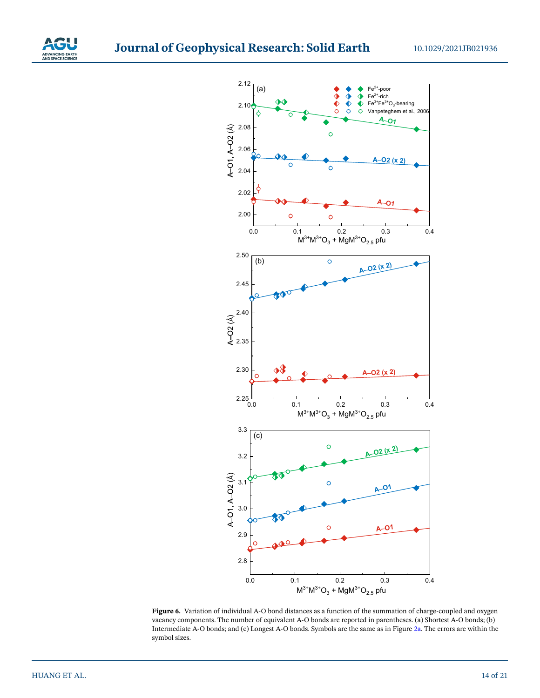



<span id="page-13-0"></span>**Figure 6.** Variation of individual A-O bond distances as a function of the summation of charge-coupled and oxygen vacancy components. The number of equivalent A-O bonds are reported in parentheses. (a) Shortest A-O bonds; (b) Intermediate A-O bonds; and (c) Longest A-O bonds. Symbols are the same as in Figure [2a](#page-7-0). The errors are within the symbol sizes.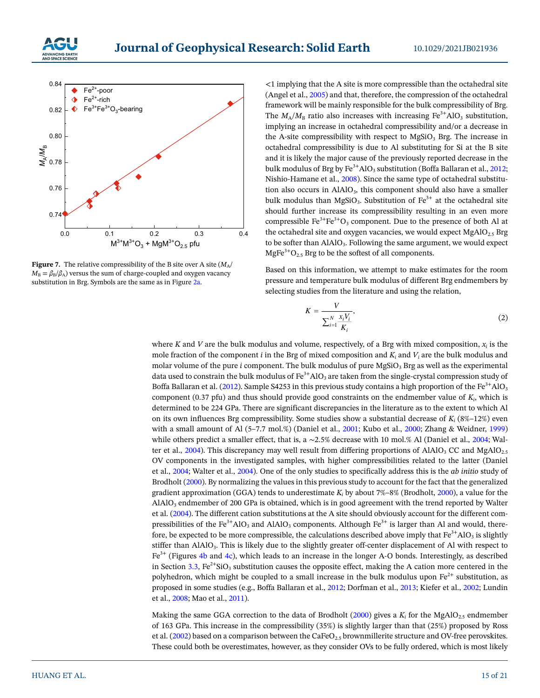



<span id="page-14-0"></span>**Figure 7.** The relative compressibility of the B site over A site  $(M_A)$  $M_{\rm B} = \beta_{\rm B}/\beta_{\rm A}$ ) versus the sum of charge-coupled and oxygen vacancy substitution in Brg. Symbols are the same as in Figure [2a](#page-7-0).

<1 implying that the A site is more compressible than the octahedral site (Angel et al., [2005\)](#page-17-13) and that, therefore, the compression of the octahedral framework will be mainly responsible for the bulk compressibility of Brg. The  $M_A/M_B$  ratio also increases with increasing  $Fe^{3+}AlO_3$  substitution, implying an increase in octahedral compressibility and/or a decrease in the A-site compressibility with respect to  $MgSiO<sub>3</sub>$  Brg. The increase in octahedral compressibility is due to Al substituting for Si at the B site and it is likely the major cause of the previously reported decrease in the bulk modulus of Brg by  $\text{Fe}^{3+}$ AlO<sub>3</sub> substitution (Boffa Ballaran et al., [2012;](#page-17-2) Nishio-Hamane et al., [2008](#page-19-9)). Since the same type of octahedral substitution also occurs in AlAlO<sub>3</sub>, this component should also have a smaller bulk modulus than MgSiO<sub>3</sub>. Substitution of  $Fe<sup>3+</sup>$  at the octahedral site should further increase its compressibility resulting in an even more compressible  $Fe^{3+}Fe^{3+}O_3$  component. Due to the presence of both Al at the octahedral site and oxygen vacancies, we would expect  $MgAlO_{2.5}$  Brg to be softer than  $AIAIO<sub>3</sub>$ . Following the same argument, we would expect MgFe<sup>3+</sup>O<sub>2.5</sub> Brg to be the softest of all components.

Based on this information, we attempt to make estimates for the room pressure and temperature bulk modulus of different Brg endmembers by selecting studies from the literature and using the relation,

$$
K = \frac{V}{\sum_{i=1}^{N} \frac{x_i V_i}{K_i}},\tag{2}
$$

where *K* and *V* are the bulk modulus and volume, respectively, of a Brg with mixed composition,  $x_i$  is the mole fraction of the component *i* in the Brg of mixed composition and *Ki* and *Vi* are the bulk modulus and molar volume of the pure  $i$  component. The bulk modulus of pure  $MgSiO<sub>3</sub>$  Brg as well as the experimental data used to constrain the bulk modulus of  $Fe^{3+}AlO_3$  are taken from the single-crystal compression study of Boffa Ballaran et al. [\(2012\)](#page-17-2). Sample S4253 in this previous study contains a high proportion of the Fe<sup>3+</sup>AlO<sub>3</sub> component (0.37 pfu) and thus should provide good constraints on the endmember value of *Ki*, which is determined to be 224 GPa. There are significant discrepancies in the literature as to the extent to which Al on its own influences Brg compressibility. Some studies show a substantial decrease of *Ki* (8%–12%) even with a small amount of Al (5–7.7 mol.%) (Daniel et al., [2001;](#page-18-23) Kubo et al., [2000;](#page-18-24) Zhang & Weidner, [1999\)](#page-20-19) while others predict a smaller effect, that is, a ∼2.5% decrease with 10 mol.% Al (Daniel et al., [2004;](#page-17-11) Wal-ter et al., [2004\)](#page-20-2). This discrepancy may well result from differing proportions of AlAlO<sub>3</sub> CC and MgAlO<sub>2.5</sub> OV components in the investigated samples, with higher compressibilities related to the latter (Daniel et al., [2004;](#page-17-11) Walter et al., [2004](#page-20-2)). One of the only studies to specifically address this is the *ab initio* study of Brodholt [\(2000\)](#page-17-15). By normalizing the values in this previous study to account for the fact that the generalized gradient approximation (GGA) tends to underestimate *Ki* by about 7%–8% (Brodholt, [2000\)](#page-17-15), a value for the AlAlO3 endmember of 200 GPa is obtained, which is in good agreement with the trend reported by Walter et al. [\(2004\)](#page-20-2). The different cation substitutions at the A site should obviously account for the different compressibilities of the Fe<sup>3+</sup>AlO<sub>3</sub> and AlAlO<sub>3</sub> components. Although Fe<sup>3+</sup> is larger than Al and would, therefore, be expected to be more compressible, the calculations described above imply that  $Fe<sup>3+</sup>AO<sub>3</sub>$  is slightly stiffer than AlAlO3. This is likely due to the slightly greater off-center displacement of Al with respect to  $Fe<sup>3+</sup>$  (Figures [4b](#page-10-0) and [4c\)](#page-10-0), which leads to an increase in the longer A-O bonds. Interestingly, as described in Section [3.3,](#page-9-0) Fe<sup>2+</sup>SiO<sub>3</sub> substitution causes the opposite effect, making the A cation more centered in the polyhedron, which might be coupled to a small increase in the bulk modulus upon  $Fe^{2+}$  substitution, as proposed in some studies (e.g., Boffa Ballaran et al., [2012](#page-17-2); Dorfman et al., [2013;](#page-18-25) Kiefer et al., [2002](#page-18-26); Lundin et al., [2008](#page-19-8); Mao et al., [2011](#page-19-29)).

Making the same GGA correction to the data of Brodholt [\(2000](#page-17-15)) gives a  $K_i$  for the MgAlO<sub>2.5</sub> endmember of 163 GPa. This increase in the compressibility (35%) is slightly larger than that (25%) proposed by Ross et al. ([2002](#page-19-30)) based on a comparison between the CaFeO<sub>2.5</sub> brownmillerite structure and OV-free perovskites. These could both be overestimates, however, as they consider OVs to be fully ordered, which is most likely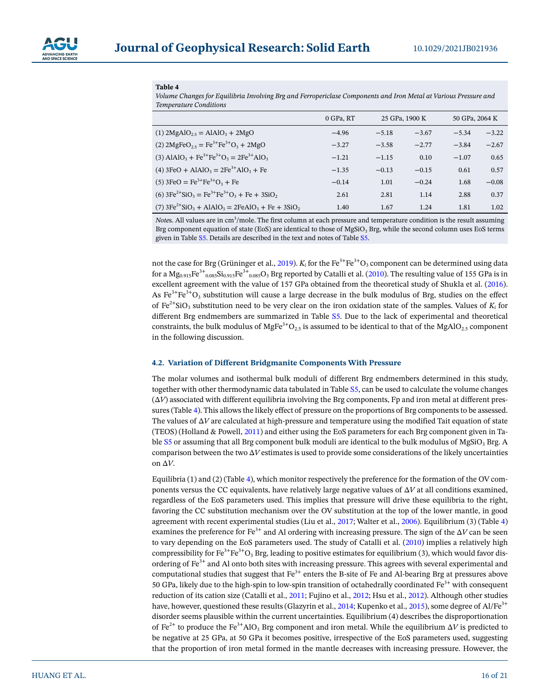

<span id="page-15-0"></span>**Table 4** 

*Volume Changes for Equilibria Involving Brg and Ferropericlase Components and Iron Metal at Various Pressure and Temperature Conditions*

|                                                                                             | 0 GPa, RT | 25 GPa, 1900 K |         | 50 GPa, 2064 K |         |
|---------------------------------------------------------------------------------------------|-----------|----------------|---------|----------------|---------|
| (1) $2MgAlO_2 = AlAlO_3 + 2MgO$                                                             | $-4.96$   | $-5.18$        | $-3.67$ | $-5.34$        | $-3.22$ |
| (2) $2MgFeO_{2.5} = Fe^{3+}Fe^{3+}O_3 + 2MgO$                                               | $-3.27$   | $-3.58$        | $-2.77$ | $-3.84$        | $-2.67$ |
| (3) AlAlO <sub>3</sub> + Fe <sup>3+</sup> Fe <sup>3+</sup> O <sub>3</sub> = $2Fe^{3+}AlO_3$ | $-1.21$   | $-1.15$        | 0.10    | $-1.07$        | 0.65    |
| (4) $3FeO + AlAlO3 = 2Fe3+AlO3 + Fe$                                                        | $-1.35$   | $-0.13$        | $-0.15$ | 0.61           | 0.57    |
| $(5)$ 3FeO = Fe <sup>3+</sup> Fe <sup>3+</sup> O <sub>3</sub> + Fe                          | $-0.14$   | 1.01           | $-0.24$ | 1.68           | $-0.08$ |
| (6) $3Fe^{2+}SiO_3 = Fe^{3+}Fe^{3+}O_3 + Fe + 3SiO_2$                                       | 2.61      | 2.81           | 1.14    | 2.88           | 0.37    |
| (7) $3Fe^{2+}SiO_3 + AlAlO_3 = 2FeAlO_3 + Fe + 3SiO_2$                                      | 1.40      | 1.67           | 1.24    | 1.81           | 1.02    |

Notes. All values are in cm<sup>3</sup>/mole. The first column at each pressure and temperature condition is the result assuming Brg component equation of state (EoS) are identical to those of  $MgSiO<sub>3</sub>$  Brg, while the second column uses EoS terms given in Table S5. Details are described in the text and notes of Table S5.

not the case for Brg (Grüninger et al., [2019](#page-18-18)).  $K_i$  for the Fe<sup>3+</sup>Fe<sup>3+</sup>O<sub>3</sub> component can be determined using data for a  $Mg_{0.915}Fe^{3+}$ <sub>0.085</sub>Si<sub>0.915</sub>Fe<sup>3+</sup><sub>0.085</sub>O<sub>3</sub> Brg reported by Catalli et al. ([2010\)](#page-17-4). The resulting value of 155 GPa is in excellent agreement with the value of 157 GPa obtained from the theoretical study of Shukla et al. ([2016\)](#page-20-21). As  $Fe^{3+}Fe^{3+}O_3$  substitution will cause a large decrease in the bulk modulus of Brg, studies on the effect of Fe<sup>2+</sup>SiO<sub>3</sub> substitution need to be very clear on the iron oxidation state of the samples. Values of  $K_i$  for different Brg endmembers are summarized in Table S5. Due to the lack of experimental and theoretical constraints, the bulk modulus of MgFe<sup>3+</sup>O<sub>2.5</sub> is assumed to be identical to that of the MgAlO<sub>2.5</sub> component in the following discussion.

#### **4.2. Variation of Different Bridgmanite Components With Pressure**

The molar volumes and isothermal bulk moduli of different Brg endmembers determined in this study, together with other thermodynamic data tabulated in Table S5, can be used to calculate the volume changes  $(\Delta V)$  associated with different equilibria involving the Brg components, Fp and iron metal at different pressures (Table [4](#page-15-0)). This allows the likely effect of pressure on the proportions of Brg components to be assessed. The values of Δ*V* are calculated at high-pressure and temperature using the modified Tait equation of state (TEOS) (Holland & Powell, [2011](#page-18-27)) and either using the EoS parameters for each Brg component given in Table S5 or assuming that all Brg component bulk moduli are identical to the bulk modulus of MgSiO<sub>3</sub> Brg. A comparison between the two  $\Delta V$  estimates is used to provide some considerations of the likely uncertainties on Δ*V*.

Equilibria (1) and (2) (Table [4\)](#page-15-0), which monitor respectively the preference for the formation of the OV components versus the CC equivalents, have relatively large negative values of Δ*V* at all conditions examined, regardless of the EoS parameters used. This implies that pressure will drive these equilibria to the right, favoring the CC substitution mechanism over the OV substitution at the top of the lower mantle, in good agreement with recent experimental studies (Liu et al., [2017;](#page-19-15) Walter et al., [2006](#page-20-3)). Equilibrium (3) (Table [4\)](#page-15-0) examines the preference for Fe3+ and Al ordering with increasing pressure. The sign of the Δ*V* can be seen to vary depending on the EoS parameters used. The study of Catalli et al. [\(2010\)](#page-17-4) implies a relatively high compressibility for Fe<sup>3+</sup>Fe<sup>3+</sup>O<sub>3</sub> Brg, leading to positive estimates for equilibrium (3), which would favor disordering of Fe<sup>3+</sup> and Al onto both sites with increasing pressure. This agrees with several experimental and computational studies that suggest that  $Fe<sup>3+</sup>$  enters the B-site of Fe and Al-bearing Brg at pressures above 50 GPa, likely due to the high-spin to low-spin transition of octahedrally coordinated  $\text{Fe}^{3+}$  with consequent reduction of its cation size (Catalli et al., [2011;](#page-17-5) Fujino et al., [2012](#page-18-28); Hsu et al., [2012](#page-18-29)). Although other studies have, however, questioned these results (Glazyrin et al., [2014;](#page-18-8) Kupenko et al., [2015\)](#page-19-31), some degree of Al/Fe<sup>3+</sup> disorder seems plausible within the current uncertainties. Equilibrium (4) describes the disproportionation of Fe<sup>2+</sup> to produce the Fe<sup>3+</sup>AlO<sub>3</sub> Brg component and iron metal. While the equilibrium  $\Delta V$  is predicted to be negative at 25 GPa, at 50 GPa it becomes positive, irrespective of the EoS parameters used, suggesting that the proportion of iron metal formed in the mantle decreases with increasing pressure. However, the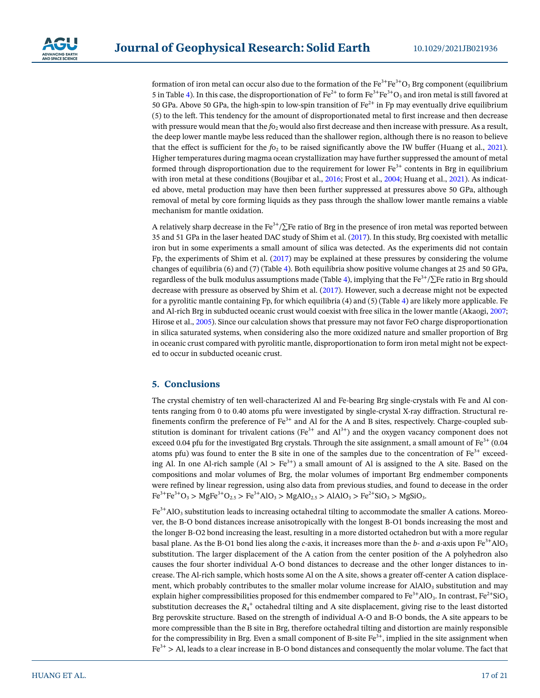

formation of iron metal can occur also due to the formation of the Fe<sup>3+</sup>Fe<sup>3+</sup>O<sub>3</sub> Brg component (equilibrium 5 in Table [4](#page-15-0)). In this case, the disproportionation of  $Fe^{2+}$  to form  $Fe^{3+}Fe^{3+}O_3$  and iron metal is still favored at 50 GPa. Above 50 GPa, the high-spin to low-spin transition of  $Fe^{2+}$  in Fp may eventually drive equilibrium (5) to the left. This tendency for the amount of disproportionated metal to first increase and then decrease with pressure would mean that the *f*o<sub>2</sub> would also first decrease and then increase with pressure. As a result, the deep lower mantle maybe less reduced than the shallower region, although there is no reason to believe that the effect is sufficient for the  $f_0$ , to be raised significantly above the IW buffer (Huang et al., [2021\)](#page-18-30). Higher temperatures during magma ocean crystallization may have further suppressed the amount of metal formed through disproportionation due to the requirement for lower  $Fe<sup>3+</sup>$  contents in Brg in equilibrium with iron metal at these conditions (Boujibar et al., [2016;](#page-17-16) Frost et al., [2004;](#page-18-7) Huang et al., [2021](#page-18-30)). As indicated above, metal production may have then been further suppressed at pressures above 50 GPa, although removal of metal by core forming liquids as they pass through the shallow lower mantle remains a viable mechanism for mantle oxidation.

A relatively sharp decrease in the Fe<sup>3+</sup>/ $\Sigma$ Fe ratio of Brg in the presence of iron metal was reported between 35 and 51 GPa in the laser heated DAC study of Shim et al. [\(2017\)](#page-20-22). In this study, Brg coexisted with metallic iron but in some experiments a small amount of silica was detected. As the experiments did not contain Fp, the experiments of Shim et al. ([2017](#page-20-22)) may be explained at these pressures by considering the volume changes of equilibria (6) and (7) (Table [4\)](#page-15-0). Both equilibria show positive volume changes at 25 and 50 GPa, regardless of the bulk modulus assumptions made (Table [4](#page-15-0)), implying that the Fe<sup>3+</sup>/ $\Sigma$ Fe ratio in Brg should decrease with pressure as observed by Shim et al. ([2017\)](#page-20-22). However, such a decrease might not be expected for a pyrolitic mantle containing Fp, for which equilibria (4) and (5) (Table [4](#page-15-0)) are likely more applicable. Fe and Al-rich Brg in subducted oceanic crust would coexist with free silica in the lower mantle (Akaogi, [2007;](#page-17-17) Hirose et al., [2005](#page-18-31)). Since our calculation shows that pressure may not favor FeO charge disproportionation in silica saturated systems, when considering also the more oxidized nature and smaller proportion of Brg in oceanic crust compared with pyrolitic mantle, disproportionation to form iron metal might not be expected to occur in subducted oceanic crust.

# **5. Conclusions**

The crystal chemistry of ten well-characterized Al and Fe-bearing Brg single-crystals with Fe and Al contents ranging from 0 to 0.40 atoms pfu were investigated by single-crystal X-ray diffraction. Structural refinements confirm the preference of  $Fe<sup>3+</sup>$  and Al for the A and B sites, respectively. Charge-coupled substitution is dominant for trivalent cations ( $Fe<sup>3+</sup>$  and  $Al<sup>3+</sup>$ ) and the oxygen vacancy component does not exceed 0.04 pfu for the investigated Brg crystals. Through the site assignment, a small amount of  $Fe<sup>3+</sup>$  (0.04) atoms pfu) was found to enter the B site in one of the samples due to the concentration of  $Fe<sup>3+</sup>$  exceeding Al. In one Al-rich sample  $(Al > Fe^{3+})$  a small amount of Al is assigned to the A site. Based on the compositions and molar volumes of Brg, the molar volumes of important Brg endmember components were refined by linear regression, using also data from previous studies, and found to decease in the order  $Fe^{3+}Fe^{3+}O_3$  > MgFe<sup>3+</sup>O<sub>2.5</sub> > Fe<sup>3+</sup>AlO<sub>3</sub> > MgAlO<sub>2.5</sub> > AlAlO<sub>3</sub> > Fe<sup>2+</sup>SiO<sub>3</sub> > MgSiO<sub>3</sub>.

 $Fe<sup>3+</sup>AlO<sub>3</sub>$  substitution leads to increasing octahedral tilting to accommodate the smaller A cations. Moreover, the B-O bond distances increase anisotropically with the longest B-O1 bonds increasing the most and the longer B-O2 bond increasing the least, resulting in a more distorted octahedron but with a more regular basal plane. As the B-O1 bond lies along the *c*-axis, it increases more than the *b*- and *a*-axis upon  $Fe^{3+}AlO_3$ substitution. The larger displacement of the A cation from the center position of the A polyhedron also causes the four shorter individual A-O bond distances to decrease and the other longer distances to increase. The Al-rich sample, which hosts some Al on the A site, shows a greater off-center A cation displacement, which probably contributes to the smaller molar volume increase for  $AIAIO<sub>3</sub>$  substitution and may explain higher compressibilities proposed for this endmember compared to  $Fe^{3+}AlO_3$ . In contrast,  $Fe^{2+}SiO_3$ substitution decreases the  $R_4^+$  octahedral tilting and A site displacement, giving rise to the least distorted Brg perovskite structure. Based on the strength of individual A-O and B-O bonds, the A site appears to be more compressible than the B site in Brg, therefore octahedral tilting and distortion are mainly responsible for the compressibility in Brg. Even a small component of B-site  $Fe^{3+}$ , implied in the site assignment when  $Fe<sup>3+</sup>$  > Al, leads to a clear increase in B-O bond distances and consequently the molar volume. The fact that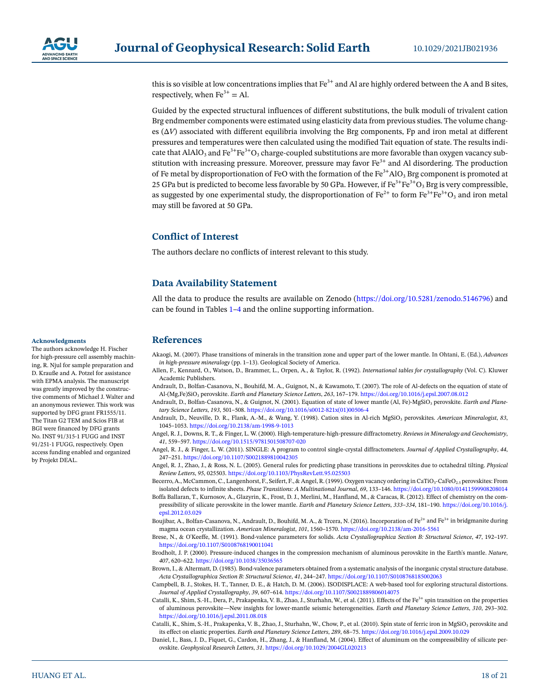

this is so visible at low concentrations implies that  $Fe<sup>3+</sup>$  and Al are highly ordered between the A and B sites, respectively, when  $Fe^{3+} = Al$ .

Guided by the expected structural influences of different substitutions, the bulk moduli of trivalent cation Brg endmember components were estimated using elasticity data from previous studies. The volume changes (Δ*V*) associated with different equilibria involving the Brg components, Fp and iron metal at different pressures and temperatures were then calculated using the modified Tait equation of state. The results indicate that AlAlO<sub>3</sub> and Fe<sup>3+</sup>Fe<sup>3+</sup>O<sub>3</sub> charge-coupled substitutions are more favorable than oxygen vacancy substitution with increasing pressure. Moreover, pressure may favor  $\text{Fe}^{3+}$  and Al disordering. The production of Fe metal by disproportionation of FeO with the formation of the  $Fe^{3+}AlO_3$  Brg component is promoted at 25 GPa but is predicted to become less favorable by 50 GPa. However, if  $Fe^{3+}Fe^{3+}O_3$  Brg is very compressible, as suggested by one experimental study, the disproportionation of  $Fe^{2+}$  to form  $Fe^{3+}Fe^{3+}O_3$  and iron metal may still be favored at 50 GPa.

# **Conflict of Interest**

The authors declare no conflicts of interest relevant to this study.

# **Data Availability Statement**

All the data to produce the results are available on Zenodo [\(https://doi.org/10.5281/zenodo.5146796\)](https://doi.org/10.5281/zenodo.5146796) and can be found in Tables [1](#page-4-0)–[4](#page-15-0) and the online supporting information.

# **References**

<span id="page-17-17"></span>Akaogi, M. (2007). Phase transitions of minerals in the transition zone and upper part of the lower mantle. In Ohtani, E. (Ed.), *Advances in high-pressure mineralogy* (pp. 1–13). Geological Society of America.

- <span id="page-17-8"></span>Allen, F., Kennard, O., Watson, D., Brammer, L., Orpen, A., & Taylor, R. (1992). *International tables for crystallography* (Vol. C). Kluwer Academic Publishers.
- <span id="page-17-3"></span>Andrault, D., Bolfan-Casanova, N., Bouhifd, M. A., Guignot, N., & Kawamoto, T. (2007). The role of Al-defects on the equation of state of Al-(Mg,Fe)SiO3 perovskite. *Earth and Planetary Science Letters*, *263*, 167–179. <https://doi.org/10.1016/j.epsl.2007.08.012>
- <span id="page-17-9"></span>Andrault, D., Bolfan-Casanova, N., & Guignot, N. (2001). Equation of state of lower mantle (Al, Fe)-MgSiO<sub>3</sub> perovskite. *Earth and Planetary Science Letters*, *193*, 501–508. [https://doi.org/10.1016/s0012-821x\(01\)00506-4](https://doi.org/10.1016/s0012-821x%2801%2900506-4)
- <span id="page-17-0"></span>Andrault, D., Neuville, D. R., Flank, A.-M., & Wang, Y. (1998). Cation sites in Al-rich MgSiO<sub>3</sub> perovskites. American Mineralogist, 83, 1045–1053. [https://doi.org/10.2138/am-1998-9-1013](https://doi.org/10.2138/am%2D1998-9%2D1013)
- <span id="page-17-6"></span>Angel, R. J., Downs, R. T., & Finger, L. W. (2000). High-temperature-high-pressure diffractometry. *Reviews in Mineralogy and Geochemistry*, *41*, 559–597.<https://doi.org/10.1515/9781501508707-020>
- <span id="page-17-7"></span>Angel, R. J., & Finger, L. W. (2011). SINGLE: A program to control single-crystal diffractometers. *Journal of Applied Crystallography*, *44*, 247–251.<https://doi.org/10.1107/S0021889810042305>
- <span id="page-17-13"></span>Angel, R. J., Zhao, J., & Ross, N. L. (2005). General rules for predicting phase transitions in perovskites due to octahedral tilting. *Physical Review Letters*, *95*, 025503. <https://doi.org/10.1103/PhysRevLett.95.025503>
- <span id="page-17-1"></span>Becerro, A., McCammon, C., Langenhorst, F., Seifert, F., & Angel, R. (1999). Oxygen vacancy ordering in CaTiO<sub>3</sub>-CaFeO<sub>2.5</sub> perovskites: From isolated defects to infinite sheets. *Phase Transitions: A Multinational Journal*, *69*, 133–146.<https://doi.org/10.1080/01411599908208014>
- <span id="page-17-2"></span>Boffa Ballaran, T., Kurnosov, A., Glazyrin, K., Frost, D. J., Merlini, M., Hanfland, M., & Caracas, R. (2012). Effect of chemistry on the compressibility of silicate perovskite in the lower mantle. *Earth and Planetary Science Letters*, *333–334*, 181–190. [https://doi.org/10.1016/j.](https://doi.org/10.1016/j.epsl.2012.03.029) [epsl.2012.03.029](https://doi.org/10.1016/j.epsl.2012.03.029)
- <span id="page-17-16"></span>Boujibar, A., Bolfan-Casanova, N., Andrault, D., Bouhifd, M. A., & Trcera, N. (2016). Incorporation of Fe<sup>2+</sup> and Fe<sup>3+</sup> in bridgmanite during magma ocean crystallization. *American Mineralogist*, *101*, 1560–1570. [https://doi.org/10.2138/am-2016-5561](https://doi.org/10.2138/am%2D2016-5561)
- <span id="page-17-14"></span>Brese, N., & O'Keeffe, M. (1991). Bond-valence parameters for solids. *Acta Crystallographica Section B: Structural Science*, *47*, 192–197. <https://doi.org/10.1107/S0108768190011041>
- <span id="page-17-15"></span>Brodholt, J. P. (2000). Pressure-induced changes in the compression mechanism of aluminous perovskite in the Earth's mantle. *Nature*, *407*, 620–622. <https://doi.org/10.1038/35036565>
- <span id="page-17-12"></span>Brown, I., & Altermatt, D. (1985). Bond-valence parameters obtained from a systematic analysis of the inorganic crystal structure database. *Acta Crystallographica Section B: Structural Science*, *41*, 244–247. <https://doi.org/10.1107/S0108768185002063>
- <span id="page-17-10"></span>Campbell, B. J., Stokes, H. T., Tanner, D. E., & Hatch, D. M. (2006). ISODISPLACE: A web-based tool for exploring structural distortions. *Journal of Applied Crystallography*, *39*, 607–614.<https://doi.org/10.1107/S0021889806014075>
- <span id="page-17-5"></span>Catalli, K., Shim, S.-H., Dera, P., Prakapenka, V. B., Zhao, J., Sturhahn, W., et al. (2011). Effects of the Fe<sup>3+</sup> spin transition on the properties of aluminous perovskite—New insights for lower-mantle seismic heterogeneities. *Earth and Planetary Science Letters*, *310*, 293–302. <https://doi.org/10.1016/j.epsl.2011.08.018>
- <span id="page-17-4"></span>Catalli, K., Shim, S.-H., Prakapenka, V. B., Zhao, J., Sturhahn, W., Chow, P., et al. (2010). Spin state of ferric iron in MgSiO3 perovskite and its effect on elastic properties. *Earth and Planetary Science Letters*, *289*, 68–75.<https://doi.org/10.1016/j.epsl.2009.10.029>
- <span id="page-17-11"></span>Daniel, I., Bass, J. D., Fiquet, G., Cardon, H., Zhang, J., & Hanfland, M. (2004). Effect of aluminum on the compressibility of silicate perovskite. *Geophysical Research Letters*, *31*.<https://doi.org/10.1029/2004GL020213>

#### **Acknowledgments**

The authors acknowledge H. Fischer for high-pressure cell assembly machining, R. Njul for sample preparation and D. Krauße and A. Potzel for assistance with EPMA analysis. The manuscript was greatly improved by the constructive comments of Michael J. Walter and an anonymous reviewer. This work was supported by DFG grant FR1555/11. The Titan G2 TEM and Scios FIB at BGI were financed by DFG grants No. INST 91/315-1 FUGG and INST 91/251-1 FUGG, respectively. Open access funding enabled and organized by Projekt DEAL.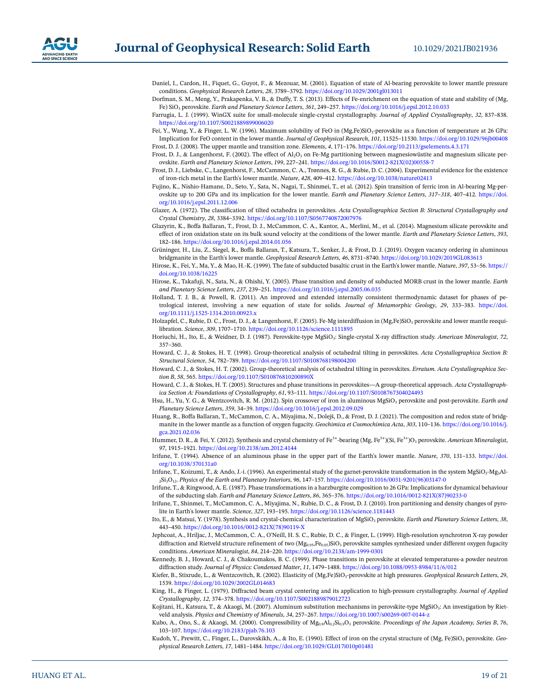

- <span id="page-18-23"></span>Daniel, I., Cardon, H., Fiquet, G., Guyot, F., & Mezouar, M. (2001). Equation of state of Al-bearing perovskite to lower mantle pressure conditions. *Geophysical Research Letters*, *28*, 3789–3792. <https://doi.org/10.1029/2001gl013011>
- <span id="page-18-25"></span>Dorfman, S. M., Meng, Y., Prakapenka, V. B., & Duffy, T. S. (2013). Effects of Fe-enrichment on the equation of state and stability of (Mg, Fe) SiO3 perovskite. *Earth and Planetary Science Letters*, *361*, 249–257. <https://doi.org/10.1016/j.epsl.2012.10.033>
- <span id="page-18-20"></span>Farrugia, L. J. (1999). WinGX suite for small-molecule single-crystal crystallography. *Journal of Applied Crystallography*, *32*, 837–838. <https://doi.org/10.1107/S0021889899006020>
- Fei, Y., Wang, Y., & Finger, L. W. (1996). Maximum solubility of FeO in (Mg,Fe)SiO<sub>3</sub>-perovskite as a function of temperature at 26 GPa: Implication for FeO content in the lower mantle. *Journal of Geophysical Research*, *101*, 11525–11530. <https://doi.org/10.1029/96jb00408> Frost, D. J. (2008). The upper mantle and transition zone. *Elements*, *4*, 171–176.<https://doi.org/10.2113/gselements.4.3.171>
- <span id="page-18-5"></span><span id="page-18-3"></span>Frost, D. J., & Langenhorst, F. (2002). The effect of  $Al_2O_3$  on Fe-Mg partitioning between magnesiowüstite and magnesium silicate perovskite. *Earth and Planetary Science Letters*, *199*, 227–241. [https://doi.org/10.1016/S0012-821X\(02\)00558-7](https://doi.org/10.1016/S0012-821X%2802%2900558-7)
- <span id="page-18-7"></span>Frost, D. J., Liebske, C., Langenhorst, F., McCammon, C. A., Trønnes, R. G., & Rubie, D. C. (2004). Experimental evidence for the existence of iron-rich metal in the Earth's lower mantle. *Nature*, *428*, 409–412. <https://doi.org/10.1038/nature02413>
- <span id="page-18-28"></span>Fujino, K., Nishio-Hamane, D., Seto, Y., Sata, N., Nagai, T., Shinmei, T., et al. (2012). Spin transition of ferric iron in Al-bearing Mg-perovskite up to 200 GPa and its implication for the lower mantle. *Earth and Planetary Science Letters*, *317–318*, 407–412. [https://doi.](https://doi.org/10.1016/j.epsl.2011.12.006) [org/10.1016/j.epsl.2011.12.006](https://doi.org/10.1016/j.epsl.2011.12.006)
- <span id="page-18-12"></span>Glazer, A. (1972). The classification of tilted octahedra in perovskites. *Acta Crystallographica Section B: Structural Crystallography and Crystal Chemistry*, *28*, 3384–3392. <https://doi.org/10.1107/S0567740872007976>
- <span id="page-18-8"></span>Glazyrin, K., Boffa Ballaran, T., Frost, D. J., McCammon, C. A., Kantor, A., Merlini, M., et al. (2014). Magnesium silicate perovskite and effect of iron oxidation state on its bulk sound velocity at the conditions of the lower mantle. *Earth and Planetary Science Letters*, *393*, 182–186.<https://doi.org/10.1016/j.epsl.2014.01.056>
- <span id="page-18-18"></span>Grüninger, H., Liu, Z., Siegel, R., Boffa Ballaran, T., Katsura, T., Senker, J., & Frost, D. J. (2019). Oxygen vacancy ordering in aluminous bridgmanite in the Earth's lower mantle. *Geophysical Research Letters*, *46*, 8731–8740. <https://doi.org/10.1029/2019GL083613>
- <span id="page-18-0"></span>Hirose, K., Fei, Y., Ma, Y., & Mao, H.-K. (1999). The fate of subducted basaltic crust in the Earth's lower mantle. *Nature*, *397*, 53–56. [https://](https://doi.org/10.1038/16225) [doi.org/10.1038/16225](https://doi.org/10.1038/16225)
- <span id="page-18-31"></span>Hirose, K., Takafuji, N., Sata, N., & Ohishi, Y. (2005). Phase transition and density of subducted MORB crust in the lower mantle. *Earth and Planetary Science Letters*, *237*, 239–251. <https://doi.org/10.1016/j.epsl.2005.06.035>
- <span id="page-18-27"></span>Holland, T. J. B., & Powell, R. (2011). An improved and extended internally consistent thermodynamic dataset for phases of petrological interest, involving a new equation of state for solids. *Journal of Metamorphic Geology*, *29*, 333–383. [https://doi.](https://doi.org/10.1111/j.1525-1314.2010.00923.x) [org/10.1111/j.1525-1314.2010.00923.x](https://doi.org/10.1111/j.1525-1314.2010.00923.x)
- <span id="page-18-9"></span>Holzapfel, C., Rubie, D. C., Frost, D. J., & Langenhorst, F. (2005). Fe-Mg interdiffusion in (Mg,Fe)SiO<sub>3</sub> perovskite and lower mantle reequilibration. *Science*, *309*, 1707–1710.<https://doi.org/10.1126/science.1111895>
- <span id="page-18-10"></span>Horiuchi, H., Ito, E., & Weidner, D. J. (1987). Perovskite-type MgSiO<sub>3</sub>: Single-crystal X-ray diffraction study. American Mineralogist, 72, 357–360.
- <span id="page-18-13"></span>Howard, C. J., & Stokes, H. T. (1998). Group-theoretical analysis of octahedral tilting in perovskites. *Acta Crystallographica Section B: Structural Science*, *54*, 782–789. <https://doi.org/10.1107/S0108768198004200>
- <span id="page-18-22"></span>Howard, C. J., & Stokes, H. T. (2002). Group-theoretical analysis of octahedral tilting in perovskites. *Erratum. Acta Crystallographica Section B*, *58*, 565.<https://doi.org/10.1107/S010876810200890X>
- <span id="page-18-14"></span>Howard, C. J., & Stokes, H. T. (2005). Structures and phase transitions in perovskites—A group-theoretical approach. *Acta Crystallographica Section A: Foundations of Crystallography*, *61*, 93–111.<https://doi.org/10.1107/S0108767304024493>
- <span id="page-18-29"></span>Hsu, H., Yu, Y. G., & Wentzcovitch, R. M. (2012). Spin crossover of iron in aluminous MgSiO<sub>3</sub> perovskite and post-perovskite. *Earth and Planetary Science Letters*, *359*, 34–39. <https://doi.org/10.1016/j.epsl.2012.09.029>
- <span id="page-18-30"></span>Huang, R., Boffa Ballaran, T., McCammon, C. A., Miyajima, N., Dolejš, D., & Frost, D. J. (2021). The composition and redox state of bridgmanite in the lower mantle as a function of oxygen fugacity. *Geochimica et Cosmochimica Acta*, *303*, 110–136. [https://doi.org/10.1016/j.](https://doi.org/10.1016/j.gca.2021.02.036) [gca.2021.02.036](https://doi.org/10.1016/j.gca.2021.02.036)
- <span id="page-18-17"></span>Hummer, D. R., & Fei, Y. (2012). Synthesis and crystal chemistry of Fe3+-bearing (Mg, Fe3+)(Si, Fe3+)O3 perovskite. *American Mineralogist*, *97*, 1915–1921.<https://doi.org/10.2138/am.2012.4144>
- <span id="page-18-4"></span>Irifune, T. (1994). Absence of an aluminous phase in the upper part of the Earth's lower mantle. *Nature*, *370*, 131–133. [https://doi.](https://doi.org/10.1038/370131a0) [org/10.1038/370131a0](https://doi.org/10.1038/370131a0)
- Irifune, T., Koizumi, T., & Ando, J.-i. (1996). An experimental study of the garnet-perovskite transformation in the system MgSiO<sub>3</sub>-Mg<sub>3</sub>Al-2Si3O12. *Physics of the Earth and Planetary Interiors*, *96*, 147–157. [https://doi.org/10.1016/0031-9201\(96\)03147-0](https://doi.org/10.1016/0031-9201%2896%2903147-0)
- <span id="page-18-1"></span>Irifune, T., & Ringwood, A. E. (1987). Phase transformations in a harzburgite composition to 26 GPa: Implications for dynamical behaviour of the subducting slab. *Earth and Planetary Science Letters*, *86*, 365–376. [https://doi.org/10.1016/0012-821X\(87\)90233-0](https://doi.org/10.1016/0012-821X%2887%2990233-0)
- <span id="page-18-2"></span>Irifune, T., Shinmei, T., McCammon, C. A., Miyajima, N., Rubie, D. C., & Frost, D. J. (2010). Iron partitioning and density changes of pyrolite in Earth's lower mantle. *Science*, *327*, 193–195. <https://doi.org/10.1126/science.1181443>
- <span id="page-18-11"></span>Ito, E., & Matsui, Y. (1978). Synthesis and crystal-chemical characterization of MgSiO<sub>3</sub> perovskite. *Earth and Planetary Science Letters*, 38, 443–450. [https://doi.org/10.1016/0012-821X\(78\)90119-X](https://doi.org/10.1016/0012-821X%2878%2990119%2DX)
- <span id="page-18-15"></span>Jephcoat, A., Hriljac, J., McCammon, C. A., O'Neill, H. S. C., Rubie, D. C., & Finger, L. (1999). High-resolution synchrotron X-ray powder diffraction and Rietveld structure refinement of two  $(Mg_{0.95}Fe_{0.05})SiO_3$  perovskite samples synthesized under different oxygen fugacity conditions. *American Mineralogist*, *84*, 214–220. [https://doi.org/10.2138/am-1999-0301](https://doi.org/10.2138/am%2D1999-0301)
- <span id="page-18-21"></span>Kennedy, B. J., Howard, C. J., & Chakoumakos, B. C. (1999). Phase transitions in perovskite at elevated temperatures-a powder neutron diffraction study. *Journal of Physics: Condensed Matter*, *11*, 1479–1488.<https://doi.org/10.1088/0953-8984/11/6/012>
- <span id="page-18-26"></span>Kiefer, B., Stixrude, L., & Wentzcovitch, R. (2002). Elasticity of (Mg,Fe)SiO<sub>3</sub>-perovskite at high pressures. *Geophysical Research Letters*, 29, 1539. <https://doi.org/10.1029/2002GL014683>
- <span id="page-18-19"></span>King, H., & Finger, L. (1979). Diffracted beam crystal centering and its application to high-pressure crystallography. *Journal of Applied Crystallography*, *12*, 374–378. <https://doi.org/10.1107/S0021889879012723>
- <span id="page-18-6"></span>Kojitani, H., Katsura, T., & Akaogi, M. (2007). Aluminum substitution mechanisms in perovskite-type MgSiO<sub>3</sub>: An investigation by Rietveld analysis. *Physics and Chemistry of Minerals*, *34*, 257–267. [https://doi.org/10.1007/s00269-007-0144-z](https://doi.org/10.1007/s00269-007-0144%2Dz)
- <span id="page-18-24"></span>Kubo, A., Ono, S., & Akaogi, M. (2000). Compressibility of Mg<sub>0.9</sub>Al<sub>0.2</sub>Si<sub>0.9</sub>O<sub>3</sub> perovskite. Proceedings of the Japan Academy, Series B, 76, 103–107.<https://doi.org/10.2183/pjab.76.103>
- <span id="page-18-16"></span>Kudoh, Y., Prewitt, C., Finger, L., Darovskikh, A., & Ito, E. (1990). Effect of iron on the crystal structure of (Mg, Fe)SiO3 perovskite. *Geophysical Research Letters*, *17*, 1481–1484.<https://doi.org/10.1029/GL017i010p01481>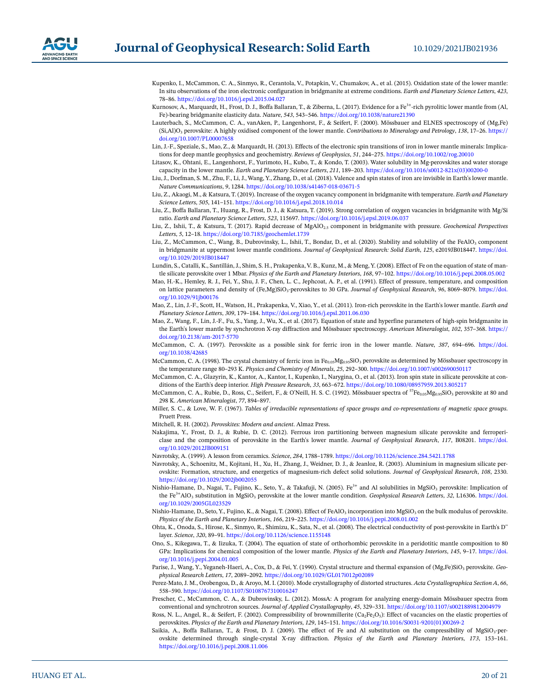

- <span id="page-19-31"></span>Kupenko, I., McCammon, C. A., Sinmyo, R., Cerantola, V., Potapkin, V., Chumakov, A., et al. (2015). Oxidation state of the lower mantle: In situ observations of the iron electronic configuration in bridgmanite at extreme conditions. *Earth and Planetary Science Letters*, *423*, 78–86.<https://doi.org/10.1016/j.epsl.2015.04.027>
- <span id="page-19-5"></span>Kurnosov, A., Marquardt, H., Frost, D. J., Boffa Ballaran, T., & Ziberna, L. (2017). Evidence for a Fe<sup>3+</sup>-rich pyrolitic lower mantle from (Al, Fe)-bearing bridgmanite elasticity data. *Nature*, *543*, 543–546.<https://doi.org/10.1038/nature21390>
- <span id="page-19-0"></span>Lauterbach, S., McCammon, C. A., vanAken, P., Langenhorst, F., & Seifert, F. (2000). Mössbauer and ELNES spectroscopy of (Mg,Fe) (Si,Al)O3 perovskite: A highly oxidised component of the lower mantle. *Contributions to Mineralogy and Petrology*, *138*, 17–26. [https://](https://doi.org/10.1007/PL00007658) [doi.org/10.1007/PL00007658](https://doi.org/10.1007/PL00007658)
- <span id="page-19-20"></span>Lin, J.-F., Speziale, S., Mao, Z., & Marquardt, H. (2013). Effects of the electronic spin transitions of iron in lower mantle minerals: Implications for deep mantle geophysics and geochemistry. *Reviews of Geophysics*, *51*, 244–275.<https://doi.org/10.1002/rog.20010>
- <span id="page-19-16"></span>Litasov, K., Ohtani, E., Langenhorst, F., Yurimoto, H., Kubo, T., & Kondo, T. (2003). Water solubility in Mg-perovskites and water storage capacity in the lower mantle. *Earth and Planetary Science Letters*, *211*, 189–203. [https://doi.org/10.1016/s0012-821x\(03\)00200-0](https://doi.org/10.1016/s0012-821x%2803%2900200-0)
- <span id="page-19-25"></span>Liu, J., Dorfman, S. M., Zhu, F., Li, J., Wang, Y., Zhang, D., et al. (2018). Valence and spin states of iron are invisible in Earth's lower mantle. *Nature Communications*, *9*, 1284. <https://doi.org/10.1038/s41467-018-03671-5>
- <span id="page-19-13"></span>Liu, Z., Akaogi, M., & Katsura, T. (2019). Increase of the oxygen vacancy component in bridgmanite with temperature. *Earth and Planetary Science Letters*, *505*, 141–151. <https://doi.org/10.1016/j.epsl.2018.10.014>
- <span id="page-19-14"></span>Liu, Z., Boffa Ballaran, T., Huang, R., Frost, D. J., & Katsura, T. (2019). Strong correlation of oxygen vacancies in bridgmanite with Mg/Si ratio. *Earth and Planetary Science Letters*, *523*, 115697.<https://doi.org/10.1016/j.epsl.2019.06.037>
- <span id="page-19-15"></span>Liu, Z., Ishii, T., & Katsura, T. (2017). Rapid decrease of MgAlO2.5 component in bridgmanite with pressure. *Geochemical Perspectives Letters*, *5*, 12–18.<https://doi.org/10.7185/geochemlet.1739>
- <span id="page-19-22"></span>Liu, Z., McCammon, C., Wang, B., Dubrovinsky, L., Ishii, T., Bondar, D., et al. (2020). Stability and solubility of the FeAlO<sub>3</sub> component in bridgmanite at uppermost lower mantle conditions. *Journal of Geophysical Research: Solid Earth*, *125*, e2019JB018447. [https://doi.](https://doi.org/10.1029/2019JB018447) [org/10.1029/2019JB018447](https://doi.org/10.1029/2019JB018447)
- <span id="page-19-8"></span>Lundin, S., Catalli, K., Santillán, J., Shim, S. H., Prakapenka, V. B., Kunz, M., & Meng, Y. (2008). Effect of Fe on the equation of state of mantle silicate perovskite over 1 Mbar. *Physics of the Earth and Planetary Interiors*, *168*, 97–102. <https://doi.org/10.1016/j.pepi.2008.05.002>
- <span id="page-19-23"></span>Mao, H.-K., Hemley, R. J., Fei, Y., Shu, J. F., Chen, L. C., Jephcoat, A. P., et al. (1991). Effect of pressure, temperature, and composition on lattice parameters and density of (Fe,Mg)SiO<sub>3</sub>-perovskites to 30 GPa. *Journal of Geophysical Research*, 96, 8069-8079. [https://doi.](https://doi.org/10.1029/91jb00176) [org/10.1029/91jb00176](https://doi.org/10.1029/91jb00176)
- <span id="page-19-29"></span>Mao, Z., Lin, J.-F., Scott, H., Watson, H., Prakapenka, V., Xiao, Y., et al. (2011). Iron-rich perovskite in the Earth's lower mantle. *Earth and Planetary Science Letters*, *309*, 179–184. <https://doi.org/10.1016/j.epsl.2011.06.030>
- <span id="page-19-6"></span>Mao, Z., Wang, F., Lin, J.-F., Fu, S., Yang, J., Wu, X., et al. (2017). Equation of state and hyperfine parameters of high-spin bridgmanite in the Earth's lower mantle by synchrotron X-ray diffraction and Mössbauer spectroscopy. *American Mineralogist*, *102*, 357–368. [https://](https://doi.org/10.2138/am%2D2017-5770) [doi.org/10.2138/am-2017-5770](https://doi.org/10.2138/am%2D2017-5770)
- <span id="page-19-2"></span>McCammon, C. A. (1997). Perovskite as a possible sink for ferric iron in the lower mantle. *Nature*, *387*, 694–696. [https://doi.](https://doi.org/10.1038/42685) [org/10.1038/42685](https://doi.org/10.1038/42685)
- <span id="page-19-21"></span>McCammon, C. A. (1998). The crystal chemistry of ferric iron in Fe<sub>0.05</sub>Mg<sub>0.95</sub>SiO<sub>3</sub> perovskite as determined by Mössbauer spectroscopy in the temperature range 80–293 K. *Physics and Chemistry of Minerals*, *25*, 292–300. <https://doi.org/10.1007/s002690050117>
- <span id="page-19-19"></span>McCammon, C. A., Glazyrin, K., Kantor, A., Kantor, I., Kupenko, I., Narygina, O., et al. (2013). Iron spin state in silicate perovskite at conditions of the Earth's deep interior. *High Pressure Research*, *33*, 663–672. <https://doi.org/10.1080/08957959.2013.805217>
- <span id="page-19-1"></span>McCammon, C. A., Rubie, D., Ross, C., Seifert, F., & O'Neill, H. S. C. (1992). Mössbauer spectra of  ${}^{57}Fe_{0.05}Mg_{0.95}SiO_3$  perovskite at 80 and 298 K. *American Mineralogist*, *77*, 894–897.
- <span id="page-19-28"></span>Miller, S. C., & Love, W. F. (1967). *Tables of irreducible representations of space groups and co-representations of magnetic space groups*. Pruett Press.
- <span id="page-19-26"></span>Mitchell, R. H. (2002). *Perovskites: Modern and ancient*. Almaz Press.
- <span id="page-19-4"></span>Nakajima, Y., Frost, D. J., & Rubie, D. C. (2012). Ferrous iron partitioning between magnesium silicate perovskite and ferropericlase and the composition of perovskite in the Earth's lower mantle. *Journal of Geophysical Research*, *117*, B08201. [https://doi.](https://doi.org/10.1029/2012JB009151) [org/10.1029/2012JB009151](https://doi.org/10.1029/2012JB009151)
- <span id="page-19-17"></span>Navrotsky, A. (1999). A lesson from ceramics. *Science*, *284*, 1788–1789. <https://doi.org/10.1126/science.284.5421.1788>
- <span id="page-19-3"></span>Navrotsky, A., Schoenitz, M., Kojitani, H., Xu, H., Zhang, J., Weidner, D. J., & Jeanloz, R. (2003). Aluminium in magnesium silicate perovskite: Formation, structure, and energetics of magnesium-rich defect solid solutions. *Journal of Geophysical Research*, *108*, 2330. <https://doi.org/10.1029/2002jb002055>
- <span id="page-19-24"></span>Nishio-Hamane, D., Nagai, T., Fujino, K., Seto, Y., & Takafuji, N. (2005). Fe<sup>3+</sup> and Al solubilities in MgSiO<sub>3</sub> perovskite: Implication of the Fe<sup>3+</sup>AlO<sub>3</sub> substitution in MgSiO<sub>3</sub> perovskite at the lower mantle condition. *Geophysical Research Letters*, 32, L16306. [https://doi.](https://doi.org/10.1029/2005GL023529) [org/10.1029/2005GL023529](https://doi.org/10.1029/2005GL023529)
- <span id="page-19-9"></span>Nishio-Hamane, D., Seto, Y., Fujino, K., & Nagai, T. (2008). Effect of FeAlO<sub>3</sub> incorporation into MgSiO<sub>3</sub> on the bulk modulus of perovskite. *Physics of the Earth and Planetary Interiors*, *166*, 219–225.<https://doi.org/10.1016/j.pepi.2008.01.002>
- <span id="page-19-7"></span>Ohta, K., Onoda, S., Hirose, K., Sinmyo, R., Shimizu, K., Sata, N., et al. (2008). The electrical conductivity of post-perovskite in Earth's D'' layer. *Science*, *320*, 89–91. <https://doi.org/10.1126/science.1155148>
- <span id="page-19-10"></span>Ono, S., Kikegawa, T., & Iizuka, T. (2004). The equation of state of orthorhombic perovskite in a peridotitic mantle composition to 80 GPa: Implications for chemical composition of the lower mantle. *Physics of the Earth and Planetary Interiors*, *145*, 9–17. [https://doi.](https://doi.org/10.1016/j.pepi.2004.01.005) [org/10.1016/j.pepi.2004.01.005](https://doi.org/10.1016/j.pepi.2004.01.005)
- <span id="page-19-12"></span>Parise, J., Wang, Y., Yeganeh-Haeri, A., Cox, D., & Fei, Y. (1990). Crystal structure and thermal expansion of (Mg,Fe)SiO<sub>3</sub> perovskite. *Geophysical Research Letters*, *17*, 2089–2092.<https://doi.org/10.1029/GL017i012p02089>
- <span id="page-19-27"></span>Perez-Mato, J. M., Orobengoa, D., & Aroyo, M. I. (2010). Mode crystallography of distorted structures. *Acta Crystallographica Section A*, *66*, 558–590.<https://doi.org/10.1107/S0108767310016247>
- <span id="page-19-18"></span>Prescher, C., McCammon, C. A., & Dubrovinsky, L. (2012). MossA: A program for analyzing energy-domain Mössbauer spectra from conventional and synchrotron sources. *Journal of Applied Crystallography*, *45*, 329–331.<https://doi.org/10.1107/s0021889812004979>
- <span id="page-19-30"></span>Ross, N. L., Angel, R., & Seifert, F. (2002). Compressibility of brownmillerite (Ca<sub>2</sub>Fe<sub>2</sub>O<sub>5</sub>): Effect of vacancies on the elastic properties of perovskites. *Physics of the Earth and Planetary Interiors*, *129*, 145–151. [https://doi.org/10.1016/S0031-9201\(01\)00269-2](https://doi.org/10.1016/S0031-9201%2801%2900269-2)
- <span id="page-19-11"></span>Saikia, A., Boffa Ballaran, T., & Frost, D. J. (2009). The effect of Fe and Al substitution on the compressibility of MgSiO<sub>3</sub>-perovskite determined through single-crystal X-ray diffraction. *Physics of the Earth and Planetary Interiors*, *173*, 153–161. <https://doi.org/10.1016/j.pepi.2008.11.006>